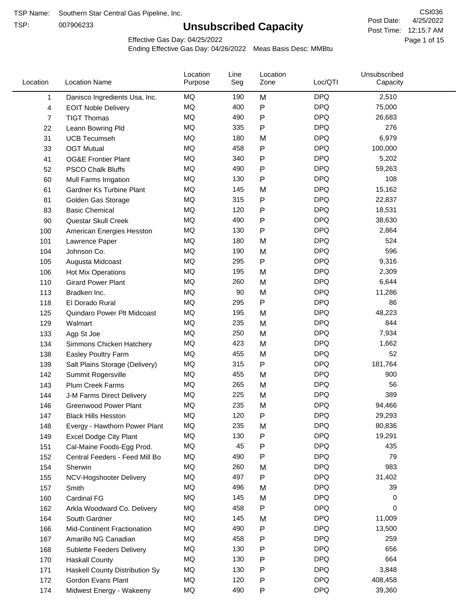TSP:

# **Unsubscribed Capacity**

4/25/2022 Page 1 of 15 Post Time: 12:15:7 AM CSI036 Post Date:

Effective Gas Day: 04/25/2022

| Location     | <b>Location Name</b>               | Location<br>Purpose | Line<br>Seg | Location<br>Zone | Loc/QTI    | Unsubscribed<br>Capacity |  |
|--------------|------------------------------------|---------------------|-------------|------------------|------------|--------------------------|--|
| $\mathbf{1}$ | Danisco Ingredients Usa, Inc.      | MQ                  | 190         | M                | <b>DPQ</b> | 2,510                    |  |
| 4            | <b>EOIT Noble Delivery</b>         | MQ                  | 400         | P                | <b>DPQ</b> | 75,000                   |  |
| 7            | <b>TIGT Thomas</b>                 | <b>MQ</b>           | 490         | P                | <b>DPQ</b> | 26,683                   |  |
| 22           | Leann Bowring Pld                  | <b>MQ</b>           | 335         | P                | <b>DPQ</b> | 276                      |  |
| 31           | <b>UCB Tecumseh</b>                | <b>MQ</b>           | 180         | M                | <b>DPQ</b> | 6,979                    |  |
| 33           | <b>OGT Mutual</b>                  | <b>MQ</b>           | 458         | P                | <b>DPQ</b> | 100,000                  |  |
| 41           | <b>OG&amp;E Frontier Plant</b>     | MQ                  | 340         | P                | <b>DPQ</b> | 5,202                    |  |
| 52           | <b>PSCO Chalk Bluffs</b>           | MQ                  | 490         | P                | <b>DPQ</b> | 59,263                   |  |
| 60           | Mull Farms Irrigation              | <b>MQ</b>           | 130         | P                | <b>DPQ</b> | 108                      |  |
| 61           | Gardner Ks Turbine Plant           | <b>MQ</b>           | 145         | M                | <b>DPQ</b> | 15,162                   |  |
| 81           | Golden Gas Storage                 | MQ                  | 315         | P                | <b>DPQ</b> | 22,837                   |  |
| 83           | <b>Basic Chemical</b>              | <b>MQ</b>           | 120         | P                | <b>DPQ</b> | 18,531                   |  |
| 90           | Questar Skull Creek                | MQ                  | 490         | P                | <b>DPQ</b> | 38,630                   |  |
| 100          | American Energies Hesston          | <b>MQ</b>           | 130         | P                | <b>DPQ</b> | 2,864                    |  |
| 101          | Lawrence Paper                     | <b>MQ</b>           | 180         | M                | <b>DPQ</b> | 524                      |  |
| 104          | Johnson Co.                        | MQ                  | 190         | M                | <b>DPQ</b> | 596                      |  |
| 105          | Augusta Midcoast                   | <b>MQ</b>           | 295         | P                | <b>DPQ</b> | 9,316                    |  |
| 106          | Hot Mix Operations                 | <b>MQ</b>           | 195         | M                | <b>DPQ</b> | 2,309                    |  |
| 110          | <b>Girard Power Plant</b>          | <b>MQ</b>           | 260         | M                | <b>DPQ</b> | 6,644                    |  |
| 113          | Bradken Inc.                       | MQ                  | 90          | M                | <b>DPQ</b> | 11,286                   |  |
| 118          | El Dorado Rural                    | MQ                  | 295         | P                | <b>DPQ</b> | 86                       |  |
| 125          | Quindaro Power Plt Midcoast        | <b>MQ</b>           | 195         | M                | <b>DPQ</b> | 48,223                   |  |
| 129          | Walmart                            | <b>MQ</b>           | 235         | M                | <b>DPQ</b> | 844                      |  |
| 133          | Agp St Joe                         | <b>MQ</b>           | 250         | M                | <b>DPQ</b> | 7,934                    |  |
| 134          | Simmons Chicken Hatchery           | <b>MQ</b>           | 423         | M                | <b>DPQ</b> | 1,662                    |  |
| 138          | Easley Poultry Farm                | MQ                  | 455         | M                | <b>DPQ</b> | 52                       |  |
| 139          | Salt Plains Storage (Delivery)     | MQ                  | 315         | P                | <b>DPQ</b> | 181,764                  |  |
| 142          | Summit Rogersville                 | MQ                  | 455         | M                | <b>DPQ</b> | 900                      |  |
| 143          | <b>Plum Creek Farms</b>            | MQ                  | 265         | M                | <b>DPQ</b> | 56                       |  |
| 144          | J-M Farms Direct Delivery          | MQ                  | 225         | M                | <b>DPQ</b> | 389                      |  |
| 146          | <b>Greenwood Power Plant</b>       | MQ                  | 235         | M                | <b>DPQ</b> | 94,466                   |  |
| 147          | <b>Black Hills Hesston</b>         | MQ                  | 120         | Ρ                | <b>DPQ</b> | 29,293                   |  |
| 148          | Evergy - Hawthorn Power Plant      | MQ                  | 235         | M                | <b>DPQ</b> | 80,836                   |  |
| 149          | <b>Excel Dodge City Plant</b>      | MQ                  | 130         | Ρ                | <b>DPQ</b> | 19,291                   |  |
| 151          | Cal-Maine Foods-Egg Prod.          | MQ                  | 45          | P                | <b>DPQ</b> | 435                      |  |
| 152          | Central Feeders - Feed Mill Bo     | MQ                  | 490         | P                | <b>DPQ</b> | 79                       |  |
| 154          | Sherwin                            | MQ                  | 260         | M                | <b>DPQ</b> | 983                      |  |
| 155          | NCV-Hogshooter Delivery            | MQ                  | 497         | P                | <b>DPQ</b> | 31,402                   |  |
| 157          | Smith                              | MQ                  | 496         | M                | <b>DPQ</b> | 39                       |  |
| 160          | Cardinal FG                        | MQ                  | 145         | M                | <b>DPQ</b> | 0                        |  |
| 162          | Arkla Woodward Co. Delivery        | MQ                  | 458         | P                | <b>DPQ</b> | 0                        |  |
| 164          | South Gardner                      | MQ                  | 145         | M                | <b>DPQ</b> | 11,009                   |  |
| 166          | <b>Mid-Continent Fractionation</b> | MQ                  | 490         | Ρ                | <b>DPQ</b> | 13,500                   |  |
| 167          | Amarillo NG Canadian               | MQ                  | 458         | Ρ                | <b>DPQ</b> | 259                      |  |
| 168          | <b>Sublette Feeders Delivery</b>   | MQ                  | 130         | Ρ                | <b>DPQ</b> | 656                      |  |
| 170          | <b>Haskall County</b>              | MQ                  | 130         | P                | <b>DPQ</b> | 664                      |  |
| 171          | Haskell County Distribution Sy     | MQ                  | 130         | Ρ                | <b>DPQ</b> | 3,848                    |  |
| 172          | Gordon Evans Plant                 | MQ                  | 120         | Ρ                | <b>DPQ</b> | 408,458                  |  |
| 174          | Midwest Energy - Wakeeny           | MQ                  | 490         | P                | <b>DPQ</b> | 39,360                   |  |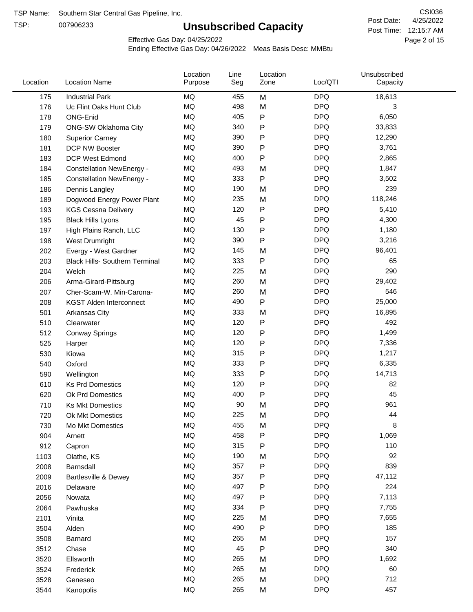TSP:

# **Unsubscribed Capacity**

4/25/2022 Page 2 of 15 Post Time: 12:15:7 AM CSI036 Post Date:

Effective Gas Day: 04/25/2022

| Location | <b>Location Name</b>                  | Location<br>Purpose | Line<br>Seg | Location<br>Zone | Loc/QTI    | Unsubscribed<br>Capacity |  |
|----------|---------------------------------------|---------------------|-------------|------------------|------------|--------------------------|--|
| 175      | <b>Industrial Park</b>                | MQ                  | 455         | M                | <b>DPQ</b> | 18,613                   |  |
| 176      | Uc Flint Oaks Hunt Club               | MQ                  | 498         | M                | <b>DPQ</b> | 3                        |  |
| 178      | ONG-Enid                              | MQ                  | 405         | ${\sf P}$        | <b>DPQ</b> | 6,050                    |  |
| 179      | <b>ONG-SW Oklahoma City</b>           | <b>MQ</b>           | 340         | P                | <b>DPQ</b> | 33,833                   |  |
| 180      | <b>Superior Carney</b>                | <b>MQ</b>           | 390         | P                | <b>DPQ</b> | 12,290                   |  |
| 181      | DCP NW Booster                        | <b>MQ</b>           | 390         | P                | <b>DPQ</b> | 3,761                    |  |
| 183      | <b>DCP West Edmond</b>                | <b>MQ</b>           | 400         | P                | <b>DPQ</b> | 2,865                    |  |
| 184      | <b>Constellation NewEnergy -</b>      | MQ                  | 493         | M                | <b>DPQ</b> | 1,847                    |  |
| 185      | <b>Constellation NewEnergy -</b>      | MQ                  | 333         | P                | <b>DPQ</b> | 3,502                    |  |
| 186      | Dennis Langley                        | MQ                  | 190         | M                | <b>DPQ</b> | 239                      |  |
| 189      | Dogwood Energy Power Plant            | <b>MQ</b>           | 235         | M                | <b>DPQ</b> | 118,246                  |  |
| 193      | <b>KGS Cessna Delivery</b>            | MQ                  | 120         | P                | <b>DPQ</b> | 5,410                    |  |
| 195      | <b>Black Hills Lyons</b>              | <b>MQ</b>           | 45          | P                | <b>DPQ</b> | 4,300                    |  |
| 197      | High Plains Ranch, LLC                | <b>MQ</b>           | 130         | P                | <b>DPQ</b> | 1,180                    |  |
| 198      | West Drumright                        | <b>MQ</b>           | 390         | P                | <b>DPQ</b> | 3,216                    |  |
| 202      | Evergy - West Gardner                 | <b>MQ</b>           | 145         | M                | <b>DPQ</b> | 96,401                   |  |
| 203      | <b>Black Hills- Southern Terminal</b> | MQ                  | 333         | P                | <b>DPQ</b> | 65                       |  |
| 204      | Welch                                 | MQ                  | 225         | M                | <b>DPQ</b> | 290                      |  |
| 206      | Arma-Girard-Pittsburg                 | <b>MQ</b>           | 260         | M                | <b>DPQ</b> | 29,402                   |  |
| 207      | Cher-Scam-W. Min-Carona-              | MQ                  | 260         | M                | <b>DPQ</b> | 546                      |  |
| 208      | <b>KGST Alden Interconnect</b>        | <b>MQ</b>           | 490         | P                | <b>DPQ</b> | 25,000                   |  |
| 501      | <b>Arkansas City</b>                  | <b>MQ</b>           | 333         | M                | <b>DPQ</b> | 16,895                   |  |
| 510      | Clearwater                            | <b>MQ</b>           | 120         | P                | <b>DPQ</b> | 492                      |  |
| 512      | <b>Conway Springs</b>                 | <b>MQ</b>           | 120         | P                | <b>DPQ</b> | 1,499                    |  |
| 525      | Harper                                | <b>MQ</b>           | 120         | P                | <b>DPQ</b> | 7,336                    |  |
| 530      | Kiowa                                 | <b>MQ</b>           | 315         | P                | <b>DPQ</b> | 1,217                    |  |
| 540      | Oxford                                | <b>MQ</b>           | 333         | P                | <b>DPQ</b> | 6,335                    |  |
| 590      | Wellington                            | <b>MQ</b>           | 333         | P                | <b>DPQ</b> | 14,713                   |  |
| 610      | <b>Ks Prd Domestics</b>               | <b>MQ</b>           | 120         | P                | <b>DPQ</b> | 82                       |  |
| 620      | <b>Ok Prd Domestics</b>               | <b>MQ</b>           | 400         | P                | <b>DPQ</b> | 45                       |  |
| 710      | <b>Ks Mkt Domestics</b>               | <b>MQ</b>           | 90          | M                | <b>DPQ</b> | 961                      |  |
| 720      | <b>Ok Mkt Domestics</b>               | MQ                  | 225         | M                | <b>DPQ</b> | 44                       |  |
| 730      | Mo Mkt Domestics                      | MQ                  | 455         | M                | <b>DPQ</b> | 8                        |  |
| 904      | Arnett                                | <b>MQ</b>           | 458         | ${\sf P}$        | <b>DPQ</b> | 1,069                    |  |
| 912      | Capron                                | <b>MQ</b>           | 315         | P                | <b>DPQ</b> | 110                      |  |
| 1103     | Olathe, KS                            | <b>MQ</b>           | 190         | M                | <b>DPQ</b> | 92                       |  |
| 2008     | Barnsdall                             | <b>MQ</b>           | 357         | P                | <b>DPQ</b> | 839                      |  |
| 2009     | <b>Bartlesville &amp; Dewey</b>       | <b>MQ</b>           | 357         | P                | <b>DPQ</b> | 47,112                   |  |
| 2016     | Delaware                              | <b>MQ</b>           | 497         | P                | <b>DPQ</b> | 224                      |  |
| 2056     | Nowata                                | <b>MQ</b>           | 497         | ${\sf P}$        | <b>DPQ</b> | 7,113                    |  |
| 2064     | Pawhuska                              | <b>MQ</b>           | 334         | P                | <b>DPQ</b> | 7,755                    |  |
| 2101     | Vinita                                | <b>MQ</b>           | 225         | M                | <b>DPQ</b> | 7,655                    |  |
| 3504     | Alden                                 | MQ                  | 490         | ${\sf P}$        | <b>DPQ</b> | 185                      |  |
| 3508     | Barnard                               | <b>MQ</b>           | 265         | M                | <b>DPQ</b> | 157                      |  |
| 3512     | Chase                                 | <b>MQ</b>           | 45          | ${\sf P}$        | <b>DPQ</b> | 340                      |  |
| 3520     | Ellsworth                             | <b>MQ</b>           | 265         | M                | <b>DPQ</b> | 1,692                    |  |
| 3524     | Frederick                             | <b>MQ</b>           | 265         | M                | <b>DPQ</b> | 60                       |  |
| 3528     | Geneseo                               | <b>MQ</b>           | 265         | M                | <b>DPQ</b> | 712                      |  |
| 3544     | Kanopolis                             | <b>MQ</b>           | 265         | M                | <b>DPQ</b> | 457                      |  |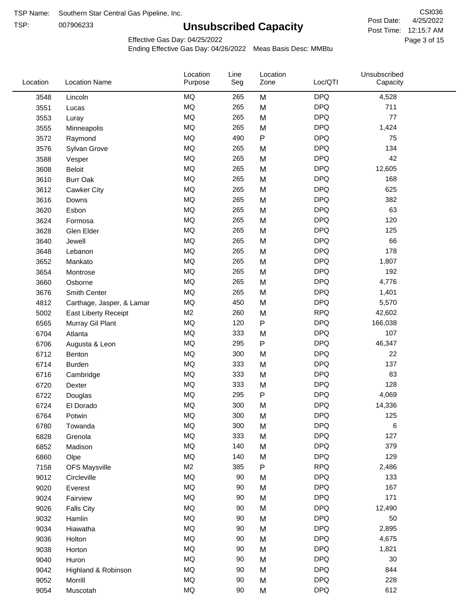TSP:

# **Unsubscribed Capacity**

4/25/2022 Page 3 of 15 Post Time: 12:15:7 AM CSI036 Post Date:

Unsubscribed

Effective Gas Day: 04/25/2022

Location

Ending Effective Gas Day: 04/26/2022 Meas Basis Desc: MMBtu

Line

Location

| Location | <b>Location Name</b>      | Purpose        | Seg | Zone      | Loc/QTI    | Capacity |  |
|----------|---------------------------|----------------|-----|-----------|------------|----------|--|
| 3548     | Lincoln                   | MQ             | 265 | M         | <b>DPQ</b> | 4,528    |  |
| 3551     | Lucas                     | MQ             | 265 | M         | <b>DPQ</b> | 711      |  |
| 3553     | Luray                     | MQ             | 265 | M         | <b>DPQ</b> | 77       |  |
| 3555     | Minneapolis               | <b>MQ</b>      | 265 | M         | <b>DPQ</b> | 1,424    |  |
| 3572     | Raymond                   | <b>MQ</b>      | 490 | $\sf P$   | <b>DPQ</b> | 75       |  |
| 3576     | Sylvan Grove              | MQ             | 265 | M         | <b>DPQ</b> | 134      |  |
| 3588     | Vesper                    | MQ             | 265 | M         | <b>DPQ</b> | 42       |  |
| 3608     | <b>Beloit</b>             | MQ             | 265 | M         | <b>DPQ</b> | 12,605   |  |
| 3610     | <b>Burr Oak</b>           | <b>MQ</b>      | 265 | M         | <b>DPQ</b> | 168      |  |
| 3612     | Cawker City               | MQ             | 265 | M         | <b>DPQ</b> | 625      |  |
| 3616     | Downs                     | <b>MQ</b>      | 265 | M         | <b>DPQ</b> | 382      |  |
| 3620     | Esbon                     | <b>MQ</b>      | 265 | M         | <b>DPQ</b> | 63       |  |
| 3624     | Formosa                   | MQ             | 265 | M         | <b>DPQ</b> | 120      |  |
| 3628     | Glen Elder                | MQ             | 265 | M         | <b>DPQ</b> | 125      |  |
| 3640     | Jewell                    | MQ             | 265 | M         | <b>DPQ</b> | 66       |  |
| 3648     | Lebanon                   | MQ             | 265 | M         | <b>DPQ</b> | 178      |  |
| 3652     | Mankato                   | MQ             | 265 | M         | <b>DPQ</b> | 1,807    |  |
| 3654     | Montrose                  | MQ             | 265 | M         | <b>DPQ</b> | 192      |  |
| 3660     | Osborne                   | MQ             | 265 | M         | <b>DPQ</b> | 4,776    |  |
| 3676     | Smith Center              | MQ             | 265 | M         | <b>DPQ</b> | 1,401    |  |
| 4812     | Carthage, Jasper, & Lamar | <b>MQ</b>      | 450 | M         | <b>DPQ</b> | 5,570    |  |
| 5002     | East Liberty Receipt      | M <sub>2</sub> | 260 | M         | <b>RPQ</b> | 42,602   |  |
| 6565     | Murray Gil Plant          | MQ             | 120 | $\sf P$   | <b>DPQ</b> | 166,038  |  |
| 6704     | Atlanta                   | <b>MQ</b>      | 333 | M         | <b>DPQ</b> | 107      |  |
| 6706     | Augusta & Leon            | MQ             | 295 | ${\sf P}$ | <b>DPQ</b> | 46,347   |  |
| 6712     | Benton                    | MQ             | 300 | M         | <b>DPQ</b> | 22       |  |
| 6714     | Burden                    | MQ             | 333 | M         | <b>DPQ</b> | 137      |  |
| 6716     | Cambridge                 | MQ             | 333 | M         | <b>DPQ</b> | 83       |  |
| 6720     | Dexter                    | MQ             | 333 | M         | <b>DPQ</b> | 128      |  |
| 6722     | Douglas                   | $\sf{MQ}$      | 295 | ${\sf P}$ | <b>DPQ</b> | 4,069    |  |
| 6724     | El Dorado                 | <b>MQ</b>      | 300 | M         | <b>DPQ</b> | 14,336   |  |
| 6764     | Potwin                    | MQ             | 300 | M         | <b>DPQ</b> | 125      |  |
| 6780     | Towanda                   | $\sf{MQ}$      | 300 | M         | <b>DPQ</b> | 6        |  |
| 6828     | Grenola                   | MQ             | 333 | M         | <b>DPQ</b> | 127      |  |
| 6852     | Madison                   | MQ             | 140 | M         | <b>DPQ</b> | 379      |  |
| 6860     | Olpe                      | MQ             | 140 | M         | <b>DPQ</b> | 129      |  |
| 7158     | <b>OFS Maysville</b>      | M <sub>2</sub> | 385 | ${\sf P}$ | <b>RPQ</b> | 2,486    |  |
| 9012     | Circleville               | MQ             | 90  | M         | <b>DPQ</b> | 133      |  |
| 9020     | Everest                   | MQ             | 90  | M         | <b>DPQ</b> | 167      |  |
| 9024     | Fairview                  | MQ             | 90  | M         | <b>DPQ</b> | 171      |  |
| 9026     | <b>Falls City</b>         | MQ             | 90  | M         | <b>DPQ</b> | 12,490   |  |
| 9032     | Hamlin                    | MQ             | 90  | M         | <b>DPQ</b> | 50       |  |
| 9034     | Hiawatha                  | MQ             | 90  | M         | <b>DPQ</b> | 2,895    |  |
| 9036     | Holton                    | $\sf{MQ}$      | 90  | M         | <b>DPQ</b> | 4,675    |  |
| 9038     | Horton                    | MQ             | 90  | M         | <b>DPQ</b> | 1,821    |  |
| 9040     | Huron                     | MQ             | 90  | M         | <b>DPQ</b> | 30       |  |
| 9042     | Highland & Robinson       | MQ             | 90  | M         | <b>DPQ</b> | 844      |  |
| 9052     | Morrill                   | MQ             | 90  | M         | <b>DPQ</b> | 228      |  |
| 9054     | Muscotah                  | $\sf{MQ}$      | 90  | M         | <b>DPQ</b> | 612      |  |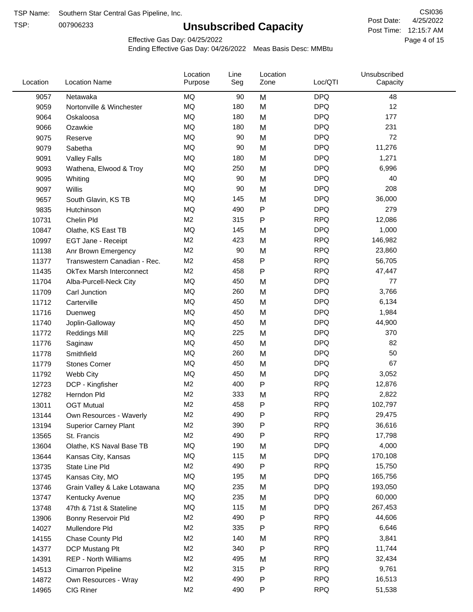TSP:

# **Unsubscribed Capacity**

4/25/2022 Page 4 of 15 Post Time: 12:15:7 AM CSI036 Post Date:

Effective Gas Day: 04/25/2022

| Location | <b>Location Name</b>            | Location<br>Purpose | Line<br>Seg | Location<br>Zone | Loc/QTI    | Unsubscribed<br>Capacity |  |
|----------|---------------------------------|---------------------|-------------|------------------|------------|--------------------------|--|
| 9057     | Netawaka                        | MQ                  | 90          | M                | <b>DPQ</b> | 48                       |  |
| 9059     | Nortonville & Winchester        | MQ                  | 180         | M                | <b>DPQ</b> | 12                       |  |
| 9064     | Oskaloosa                       | MQ                  | 180         | M                | <b>DPQ</b> | 177                      |  |
| 9066     | Ozawkie                         | MQ                  | 180         | M                | <b>DPQ</b> | 231                      |  |
| 9075     | Reserve                         | MQ                  | 90          | M                | <b>DPQ</b> | 72                       |  |
| 9079     | Sabetha                         | MQ                  | 90          | M                | <b>DPQ</b> | 11,276                   |  |
| 9091     | <b>Valley Falls</b>             | MQ                  | 180         | M                | <b>DPQ</b> | 1,271                    |  |
| 9093     | Wathena, Elwood & Troy          | MQ                  | 250         | M                | <b>DPQ</b> | 6,996                    |  |
| 9095     | Whiting                         | MQ                  | 90          | M                | <b>DPQ</b> | 40                       |  |
| 9097     | Willis                          | MQ                  | 90          | M                | <b>DPQ</b> | 208                      |  |
| 9657     | South Glavin, KS TB             | MQ                  | 145         | M                | <b>DPQ</b> | 36,000                   |  |
| 9835     | Hutchinson                      | MQ                  | 490         | P                | <b>DPQ</b> | 279                      |  |
| 10731    | Chelin Pld                      | M <sub>2</sub>      | 315         | P                | <b>RPQ</b> | 12,086                   |  |
| 10847    | Olathe, KS East TB              | MQ                  | 145         | M                | <b>DPQ</b> | 1,000                    |  |
| 10997    | EGT Jane - Receipt              | M <sub>2</sub>      | 423         | M                | <b>RPQ</b> | 146,982                  |  |
| 11138    | Anr Brown Emergency             | M <sub>2</sub>      | 90          | M                | <b>RPQ</b> | 23,860                   |  |
| 11377    | Transwestern Canadian - Rec.    | M <sub>2</sub>      | 458         | P                | <b>RPQ</b> | 56,705                   |  |
| 11435    | <b>OkTex Marsh Interconnect</b> | M <sub>2</sub>      | 458         | P                | <b>RPQ</b> | 47,447                   |  |
| 11704    | Alba-Purcell-Neck City          | MQ                  | 450         | M                | <b>DPQ</b> | 77                       |  |
| 11709    | Carl Junction                   | MQ                  | 260         | M                | <b>DPQ</b> | 3,766                    |  |
| 11712    | Carterville                     | MQ                  | 450         | M                | <b>DPQ</b> | 6,134                    |  |
| 11716    | Duenweg                         | MQ                  | 450         | M                | <b>DPQ</b> | 1,984                    |  |
| 11740    | Joplin-Galloway                 | MQ                  | 450         | M                | <b>DPQ</b> | 44,900                   |  |
| 11772    | <b>Reddings Mill</b>            | MQ                  | 225         | M                | <b>DPQ</b> | 370                      |  |
| 11776    | Saginaw                         | MQ                  | 450         | M                | <b>DPQ</b> | 82                       |  |
| 11778    | Smithfield                      | MQ                  | 260         | M                | <b>DPQ</b> | 50                       |  |
| 11779    | <b>Stones Corner</b>            | MQ                  | 450         | M                | <b>DPQ</b> | 67                       |  |
| 11792    | Webb City                       | MQ                  | 450         | M                | <b>DPQ</b> | 3,052                    |  |
| 12723    | DCP - Kingfisher                | M <sub>2</sub>      | 400         | P                | <b>RPQ</b> | 12,876                   |  |
| 12782    | Herndon Pld                     | M <sub>2</sub>      | 333         | M                | <b>RPQ</b> | 2,822                    |  |
| 13011    | <b>OGT Mutual</b>               | M <sub>2</sub>      | 458         | P                | <b>RPQ</b> | 102,797                  |  |
| 13144    | Own Resources - Waverly         | M <sub>2</sub>      | 490         | P                | <b>RPQ</b> | 29,475                   |  |
| 13194    | <b>Superior Carney Plant</b>    | M <sub>2</sub>      | 390         | P                | <b>RPQ</b> | 36,616                   |  |
| 13565    | St. Francis                     | M2                  | 490         | Ρ                | <b>RPQ</b> | 17,798                   |  |
| 13604    | Olathe, KS Naval Base TB        | MQ                  | 190         | M                | <b>DPQ</b> | 4,000                    |  |
| 13644    | Kansas City, Kansas             | MQ                  | 115         | M                | <b>DPQ</b> | 170,108                  |  |
| 13735    | State Line Pld                  | M <sub>2</sub>      | 490         | P                | <b>RPQ</b> | 15,750                   |  |
| 13745    | Kansas City, MO                 | MQ                  | 195         | M                | <b>DPQ</b> | 165,756                  |  |
| 13746    | Grain Valley & Lake Lotawana    | MQ                  | 235         | M                | <b>DPQ</b> | 193,050                  |  |
| 13747    | Kentucky Avenue                 | MQ                  | 235         | M                | <b>DPQ</b> | 60,000                   |  |
| 13748    | 47th & 71st & Stateline         | MQ                  | 115         | M                | <b>DPQ</b> | 267,453                  |  |
| 13906    | Bonny Reservoir Pld             | M <sub>2</sub>      | 490         | P                | <b>RPQ</b> | 44,606                   |  |
| 14027    | Mullendore Pld                  | M <sub>2</sub>      | 335         | Ρ                | <b>RPQ</b> | 6,646                    |  |
| 14155    | Chase County Pld                | M <sub>2</sub>      | 140         | M                | <b>RPQ</b> | 3,841                    |  |
| 14377    | DCP Mustang Plt                 | M <sub>2</sub>      | 340         | P                | <b>RPQ</b> | 11,744                   |  |
| 14391    | <b>REP - North Williams</b>     | M <sub>2</sub>      | 495         | M                | <b>RPQ</b> | 32,434                   |  |
| 14513    | Cimarron Pipeline               | M <sub>2</sub>      | 315         | Ρ                | <b>RPQ</b> | 9,761                    |  |
| 14872    | Own Resources - Wray            | M <sub>2</sub>      | 490         | Ρ                | <b>RPQ</b> | 16,513                   |  |
| 14965    | CIG Riner                       | M <sub>2</sub>      | 490         | P                | <b>RPQ</b> | 51,538                   |  |
|          |                                 |                     |             |                  |            |                          |  |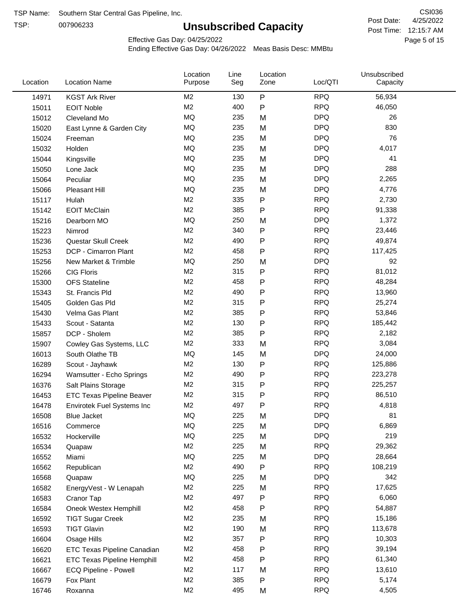TSP:

# **Unsubscribed Capacity**

4/25/2022 Page 5 of 15 Post Time: 12:15:7 AM CSI036 Post Date:

Effective Gas Day: 04/25/2022

| Location | <b>Location Name</b>             | Location<br>Purpose | Line<br>Seg | Location<br>Zone | Loc/QTI    | Unsubscribed<br>Capacity |  |
|----------|----------------------------------|---------------------|-------------|------------------|------------|--------------------------|--|
| 14971    | <b>KGST Ark River</b>            | M <sub>2</sub>      | 130         | P                | <b>RPQ</b> | 56,934                   |  |
| 15011    | <b>EOIT Noble</b>                | M <sub>2</sub>      | 400         | P                | <b>RPQ</b> | 46,050                   |  |
| 15012    | Cleveland Mo                     | MQ                  | 235         | M                | <b>DPQ</b> | 26                       |  |
| 15020    | East Lynne & Garden City         | MQ                  | 235         | M                | <b>DPQ</b> | 830                      |  |
| 15024    | Freeman                          | <b>MQ</b>           | 235         | M                | <b>DPQ</b> | 76                       |  |
| 15032    | Holden                           | <b>MQ</b>           | 235         | M                | <b>DPQ</b> | 4,017                    |  |
| 15044    | Kingsville                       | MQ                  | 235         | M                | <b>DPQ</b> | 41                       |  |
| 15050    | Lone Jack                        | MQ                  | 235         | M                | <b>DPQ</b> | 288                      |  |
| 15064    | Peculiar                         | <b>MQ</b>           | 235         | M                | <b>DPQ</b> | 2,265                    |  |
| 15066    | <b>Pleasant Hill</b>             | MQ                  | 235         | M                | <b>DPQ</b> | 4,776                    |  |
| 15117    | Hulah                            | M <sub>2</sub>      | 335         | P                | <b>RPQ</b> | 2,730                    |  |
| 15142    | <b>EOIT McClain</b>              | M <sub>2</sub>      | 385         | P                | <b>RPQ</b> | 91,338                   |  |
| 15216    | Dearborn MO                      | MQ                  | 250         | M                | <b>DPQ</b> | 1,372                    |  |
| 15223    | Nimrod                           | M <sub>2</sub>      | 340         | P                | <b>RPQ</b> | 23,446                   |  |
| 15236    | Questar Skull Creek              | M <sub>2</sub>      | 490         | P                | <b>RPQ</b> | 49,874                   |  |
| 15253    | DCP - Cimarron Plant             | M <sub>2</sub>      | 458         | P                | <b>RPQ</b> | 117,425                  |  |
| 15256    | New Market & Trimble             | MQ                  | 250         | M                | <b>DPQ</b> | 92                       |  |
| 15266    | <b>CIG Floris</b>                | M <sub>2</sub>      | 315         | Ρ                | <b>RPQ</b> | 81,012                   |  |
| 15300    | <b>OFS Stateline</b>             | M <sub>2</sub>      | 458         | P                | <b>RPQ</b> | 48,284                   |  |
| 15343    | St. Francis Pld                  | M <sub>2</sub>      | 490         | P                | <b>RPQ</b> | 13,960                   |  |
| 15405    | Golden Gas Pld                   | M <sub>2</sub>      | 315         | P                | <b>RPQ</b> | 25,274                   |  |
| 15430    | Velma Gas Plant                  | M <sub>2</sub>      | 385         | P                | <b>RPQ</b> | 53,846                   |  |
| 15433    | Scout - Satanta                  | M <sub>2</sub>      | 130         | P                | <b>RPQ</b> | 185,442                  |  |
| 15857    | DCP - Sholem                     | M <sub>2</sub>      | 385         | P                | <b>RPQ</b> | 2,182                    |  |
| 15907    | Cowley Gas Systems, LLC          | M <sub>2</sub>      | 333         | M                | <b>RPQ</b> | 3,084                    |  |
| 16013    | South Olathe TB                  | MQ                  | 145         | M                | <b>DPQ</b> | 24,000                   |  |
| 16289    | Scout - Jayhawk                  | M <sub>2</sub>      | 130         | P                | <b>RPQ</b> | 125,886                  |  |
| 16294    | Wamsutter - Echo Springs         | M <sub>2</sub>      | 490         | P                | <b>RPQ</b> | 223,278                  |  |
| 16376    | Salt Plains Storage              | M <sub>2</sub>      | 315         | P                | <b>RPQ</b> | 225,257                  |  |
| 16453    | <b>ETC Texas Pipeline Beaver</b> | M <sub>2</sub>      | 315         | P                | <b>RPQ</b> | 86,510                   |  |
| 16478    | Envirotek Fuel Systems Inc       | M <sub>2</sub>      | 497         | P                | <b>RPQ</b> | 4,818                    |  |
| 16508    | Blue Jacket                      | MQ                  | 225         | M                | <b>DPQ</b> | 81                       |  |
| 16516    | Commerce                         | MQ                  | 225         | M                | <b>DPQ</b> | 6,869                    |  |
| 16532    | Hockerville                      | $\sf{MQ}$           | 225         | M                | <b>DPQ</b> | 219                      |  |
| 16534    | Quapaw                           | M <sub>2</sub>      | 225         | M                | <b>RPQ</b> | 29,362                   |  |
| 16552    | Miami                            | MQ                  | 225         | M                | <b>DPQ</b> | 28,664                   |  |
| 16562    | Republican                       | M <sub>2</sub>      | 490         | Ρ                | <b>RPQ</b> | 108,219                  |  |
| 16568    | Quapaw                           | MQ                  | 225         | M                | <b>DPQ</b> | 342                      |  |
| 16582    | EnergyVest - W Lenapah           | M <sub>2</sub>      | 225         | M                | <b>RPQ</b> | 17,625                   |  |
| 16583    | Cranor Tap                       | M <sub>2</sub>      | 497         | P                | <b>RPQ</b> | 6,060                    |  |
| 16584    | Oneok Westex Hemphill            | M <sub>2</sub>      | 458         | Ρ                | <b>RPQ</b> | 54,887                   |  |
| 16592    | <b>TIGT Sugar Creek</b>          | M <sub>2</sub>      | 235         | M                | <b>RPQ</b> | 15,186                   |  |
| 16593    | <b>TIGT Glavin</b>               | M <sub>2</sub>      | 190         | M                | <b>RPQ</b> | 113,678                  |  |
| 16604    | Osage Hills                      | M <sub>2</sub>      | 357         | Ρ                | <b>RPQ</b> | 10,303                   |  |
| 16620    | ETC Texas Pipeline Canadian      | M <sub>2</sub>      | 458         | Ρ                | <b>RPQ</b> | 39,194                   |  |
| 16621    | ETC Texas Pipeline Hemphill      | M <sub>2</sub>      | 458         | Ρ                | <b>RPQ</b> | 61,340                   |  |
| 16667    | ECQ Pipeline - Powell            | M <sub>2</sub>      | 117         | M                | <b>RPQ</b> | 13,610                   |  |
| 16679    | Fox Plant                        | M <sub>2</sub>      | 385         | Ρ                | <b>RPQ</b> | 5,174                    |  |
| 16746    | Roxanna                          | M <sub>2</sub>      | 495         | M                | <b>RPQ</b> | 4,505                    |  |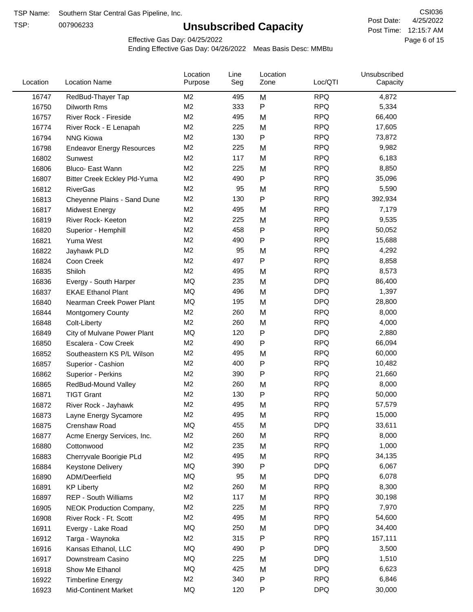TSP:

# **Unsubscribed Capacity**

4/25/2022 Page 6 of 15 Post Time: 12:15:7 AM CSI036 Post Date:

Effective Gas Day: 04/25/2022

| Location | <b>Location Name</b>                | Location<br>Purpose | Line<br>Seg | Location<br>Zone | Loc/QTI    | Unsubscribed<br>Capacity |  |
|----------|-------------------------------------|---------------------|-------------|------------------|------------|--------------------------|--|
| 16747    | RedBud-Thayer Tap                   | M <sub>2</sub>      | 495         | M                | <b>RPQ</b> | 4,872                    |  |
| 16750    | Dilworth Rms                        | M2                  | 333         | P                | <b>RPQ</b> | 5,334                    |  |
| 16757    | River Rock - Fireside               | M <sub>2</sub>      | 495         | M                | <b>RPQ</b> | 66,400                   |  |
| 16774    | River Rock - E Lenapah              | M <sub>2</sub>      | 225         | M                | <b>RPQ</b> | 17,605                   |  |
| 16794    | <b>NNG Kiowa</b>                    | M <sub>2</sub>      | 130         | P                | <b>RPQ</b> | 73,872                   |  |
| 16798    | <b>Endeavor Energy Resources</b>    | M <sub>2</sub>      | 225         | M                | <b>RPQ</b> | 9,982                    |  |
| 16802    | Sunwest                             | M <sub>2</sub>      | 117         | M                | <b>RPQ</b> | 6,183                    |  |
| 16806    | Bluco- East Wann                    | M2                  | 225         | M                | <b>RPQ</b> | 8,850                    |  |
| 16807    | <b>Bitter Creek Eckley Pld-Yuma</b> | M2                  | 490         | P                | <b>RPQ</b> | 35,096                   |  |
| 16812    | <b>RiverGas</b>                     | M <sub>2</sub>      | 95          | M                | <b>RPQ</b> | 5,590                    |  |
| 16813    | Cheyenne Plains - Sand Dune         | M <sub>2</sub>      | 130         | P                | <b>RPQ</b> | 392,934                  |  |
| 16817    | <b>Midwest Energy</b>               | M <sub>2</sub>      | 495         | M                | <b>RPQ</b> | 7,179                    |  |
| 16819    | River Rock- Keeton                  | M <sub>2</sub>      | 225         | M                | <b>RPQ</b> | 9,535                    |  |
| 16820    | Superior - Hemphill                 | M <sub>2</sub>      | 458         | Ρ                | <b>RPQ</b> | 50,052                   |  |
| 16821    | Yuma West                           | M <sub>2</sub>      | 490         | P                | <b>RPQ</b> | 15,688                   |  |
| 16822    | Jayhawk PLD                         | M <sub>2</sub>      | 95          | M                | <b>RPQ</b> | 4,292                    |  |
| 16824    | Coon Creek                          | M <sub>2</sub>      | 497         | P                | <b>RPQ</b> | 8,858                    |  |
| 16835    | Shiloh                              | M2                  | 495         | M                | <b>RPQ</b> | 8,573                    |  |
| 16836    | Evergy - South Harper               | MQ                  | 235         | M                | <b>DPQ</b> | 86,400                   |  |
| 16837    | <b>EKAE Ethanol Plant</b>           | MQ                  | 496         | M                | <b>DPQ</b> | 1,397                    |  |
| 16840    | Nearman Creek Power Plant           | MQ                  | 195         | M                | <b>DPQ</b> | 28,800                   |  |
| 16844    | <b>Montgomery County</b>            | M <sub>2</sub>      | 260         | M                | <b>RPQ</b> | 8,000                    |  |
| 16848    | Colt-Liberty                        | M2                  | 260         | M                | <b>RPQ</b> | 4,000                    |  |
| 16849    | City of Mulvane Power Plant         | <b>MQ</b>           | 120         | P                | <b>DPQ</b> | 2,880                    |  |
| 16850    | Escalera - Cow Creek                | M <sub>2</sub>      | 490         | P                | <b>RPQ</b> | 66,094                   |  |
| 16852    | Southeastern KS P/L Wilson          | M <sub>2</sub>      | 495         | M                | <b>RPQ</b> | 60,000                   |  |
| 16857    | Superior - Cashion                  | M <sub>2</sub>      | 400         | P                | <b>RPQ</b> | 10,482                   |  |
| 16862    | Superior - Perkins                  | M2                  | 390         | P                | <b>RPQ</b> | 21,660                   |  |
| 16865    | RedBud-Mound Valley                 | M <sub>2</sub>      | 260         | M                | <b>RPQ</b> | 8,000                    |  |
| 16871    | <b>TIGT Grant</b>                   | M <sub>2</sub>      | 130         | Ρ                | <b>RPQ</b> | 50,000                   |  |
| 16872    | River Rock - Jayhawk                | M <sub>2</sub>      | 495         | M                | <b>RPQ</b> | 57,579                   |  |
| 16873    | Layne Energy Sycamore               | M <sub>2</sub>      | 495         | M                | <b>RPQ</b> | 15,000                   |  |
| 16875    | Crenshaw Road                       | MQ                  | 455         | M                | <b>DPQ</b> | 33,611                   |  |
| 16877    | Acme Energy Services, Inc.          | M <sub>2</sub>      | 260         | M                | <b>RPQ</b> | 8,000                    |  |
| 16880    | Cottonwood                          | M <sub>2</sub>      | 235         | M                | <b>RPQ</b> | 1,000                    |  |
| 16883    | Cherryvale Boorigie PLd             | M <sub>2</sub>      | 495         | M                | <b>RPQ</b> | 34,135                   |  |
| 16884    | <b>Keystone Delivery</b>            | MQ                  | 390         | P                | <b>DPQ</b> | 6,067                    |  |
| 16890    | ADM/Deerfield                       | MQ                  | 95          | M                | <b>DPQ</b> | 6,078                    |  |
| 16891    | <b>KP Liberty</b>                   | M <sub>2</sub>      | 260         | M                | <b>RPQ</b> | 8,300                    |  |
| 16897    | REP - South Williams                | M <sub>2</sub>      | 117         | M                | <b>RPQ</b> | 30,198                   |  |
| 16905    | NEOK Production Company,            | M <sub>2</sub>      | 225         | M                | <b>RPQ</b> | 7,970                    |  |
| 16908    | River Rock - Ft. Scott              | M <sub>2</sub>      | 495         | M                | <b>RPQ</b> | 54,600                   |  |
| 16911    | Evergy - Lake Road                  | MQ                  | 250         | M                | <b>DPQ</b> | 34,400                   |  |
| 16912    | Targa - Waynoka                     | M <sub>2</sub>      | 315         | P                | <b>RPQ</b> | 157,111                  |  |
| 16916    | Kansas Ethanol, LLC                 | MQ                  | 490         | Ρ                | <b>DPQ</b> | 3,500                    |  |
| 16917    | Downstream Casino                   | MQ                  | 225         | M                | <b>DPQ</b> | 1,510                    |  |
| 16918    | Show Me Ethanol                     | MQ                  | 425         | M                | <b>DPQ</b> | 6,623                    |  |
| 16922    | <b>Timberline Energy</b>            | M <sub>2</sub>      | 340         | P                | <b>RPQ</b> | 6,846                    |  |
| 16923    | <b>Mid-Continent Market</b>         | MQ                  | 120         | P                | <b>DPQ</b> | 30,000                   |  |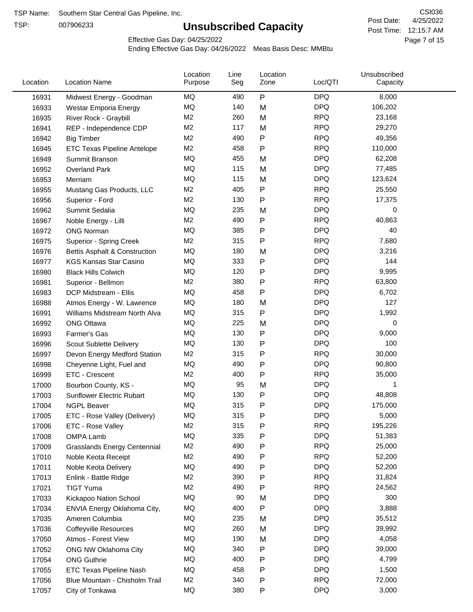TSP:

# **Unsubscribed Capacity**

4/25/2022 Page 7 of 15 Post Time: 12:15:7 AM CSI036 Post Date:

Effective Gas Day: 04/25/2022

| Location | <b>Location Name</b>                | Location<br>Purpose | Line<br>Seg | Location<br>Zone | Loc/QTI    | Unsubscribed<br>Capacity |  |
|----------|-------------------------------------|---------------------|-------------|------------------|------------|--------------------------|--|
| 16931    | Midwest Energy - Goodman            | ΜQ                  | 490         | P                | <b>DPQ</b> | 8,000                    |  |
| 16933    | Westar Emporia Energy               | MQ                  | 140         | M                | <b>DPQ</b> | 106,202                  |  |
| 16935    | River Rock - Graybill               | M <sub>2</sub>      | 260         | M                | <b>RPQ</b> | 23,168                   |  |
| 16941    | REP - Independence CDP              | M <sub>2</sub>      | 117         | M                | <b>RPQ</b> | 29,270                   |  |
| 16942    | <b>Big Timber</b>                   | M <sub>2</sub>      | 490         | P                | <b>RPQ</b> | 49,356                   |  |
| 16945    | <b>ETC Texas Pipeline Antelope</b>  | M <sub>2</sub>      | 458         | $\mathsf{P}$     | <b>RPQ</b> | 110,000                  |  |
| 16949    | Summit Branson                      | MQ                  | 455         | M                | <b>DPQ</b> | 62,208                   |  |
| 16952    | Overland Park                       | MQ                  | 115         | M                | <b>DPQ</b> | 77,485                   |  |
| 16953    | Merriam                             | MQ                  | 115         | M                | <b>DPQ</b> | 123,624                  |  |
| 16955    | Mustang Gas Products, LLC           | M <sub>2</sub>      | 405         | $\mathsf{P}$     | <b>RPQ</b> | 25,550                   |  |
| 16956    | Superior - Ford                     | M <sub>2</sub>      | 130         | $\mathsf{P}$     | <b>RPQ</b> | 17,375                   |  |
| 16962    | Summit Sedalia                      | <b>MQ</b>           | 235         | M                | <b>DPQ</b> | 0                        |  |
| 16967    | Noble Energy - Lilli                | M <sub>2</sub>      | 490         | P                | <b>RPQ</b> | 40,863                   |  |
| 16972    | <b>ONG Norman</b>                   | MQ                  | 385         | $\mathsf{P}$     | <b>DPQ</b> | 40                       |  |
| 16975    | Superior - Spring Creek             | M <sub>2</sub>      | 315         | $\mathsf{P}$     | <b>RPQ</b> | 7,680                    |  |
| 16976    | Bettis Asphalt & Construction       | MQ                  | 180         | M                | <b>DPQ</b> | 3,216                    |  |
| 16977    | <b>KGS Kansas Star Casino</b>       | MQ                  | 333         | P                | <b>DPQ</b> | 144                      |  |
| 16980    | <b>Black Hills Colwich</b>          | MQ                  | 120         | P                | <b>DPQ</b> | 9,995                    |  |
| 16981    | Superior - Bellmon                  | M <sub>2</sub>      | 380         | P                | <b>RPQ</b> | 63,800                   |  |
| 16983    | DCP Midstream - Ellis               | MQ                  | 458         | $\mathsf{P}$     | <b>DPQ</b> | 6,702                    |  |
| 16988    | Atmos Energy - W. Lawrence          | MQ                  | 180         | M                | <b>DPQ</b> | 127                      |  |
| 16991    | Williams Midstream North Alva       | MQ                  | 315         | $\mathsf{P}$     | <b>DPQ</b> | 1,992                    |  |
| 16992    | <b>ONG Ottawa</b>                   | MQ                  | 225         | M                | <b>DPQ</b> | 0                        |  |
| 16993    | Farmer's Gas                        | MQ                  | 130         | P                | <b>DPQ</b> | 9,000                    |  |
| 16996    | Scout Sublette Delivery             | MQ                  | 130         | P                | <b>DPQ</b> | 100                      |  |
| 16997    | Devon Energy Medford Station        | M <sub>2</sub>      | 315         | P                | <b>RPQ</b> | 30,000                   |  |
| 16998    | Cheyenne Light, Fuel and            | MQ                  | 490         | P                | <b>DPQ</b> | 90,800                   |  |
| 16999    | ETC - Crescent                      | M <sub>2</sub>      | 400         | $\mathsf{P}$     | <b>RPQ</b> | 35,000                   |  |
| 17000    | Bourbon County, KS -                | MQ                  | 95          | M                | <b>DPQ</b> | 1                        |  |
| 17003    | <b>Sunflower Electric Rubart</b>    | MQ                  | 130         | $\mathsf{P}$     | <b>DPQ</b> | 48,808                   |  |
| 17004    | <b>NGPL Beaver</b>                  | MQ                  | 315         | P                | <b>DPQ</b> | 175,000                  |  |
| 17005    | ETC - Rose Valley (Delivery)        | MQ                  | 315         | P                | <b>DPQ</b> | 5,000                    |  |
| 17006    | ETC - Rose Valley                   | M <sub>2</sub>      | 315         | P                | <b>RPQ</b> | 195,226                  |  |
| 17008    | OMPA Lamb                           | MQ                  | 335         | ${\sf P}$        | <b>DPQ</b> | 51,383                   |  |
| 17009    | <b>Grasslands Energy Centennial</b> | M <sub>2</sub>      | 490         | P                | <b>RPQ</b> | 25,000                   |  |
| 17010    | Noble Keota Receipt                 | M <sub>2</sub>      | 490         | P                | <b>RPQ</b> | 52,200                   |  |
| 17011    | Noble Keota Delivery                | MQ                  | 490         | P                | <b>DPQ</b> | 52,200                   |  |
| 17013    | Enlink - Battle Ridge               | M <sub>2</sub>      | 390         | P                | <b>RPQ</b> | 31,824                   |  |
| 17021    | <b>TIGT Yuma</b>                    | M <sub>2</sub>      | 490         | P                | <b>RPQ</b> | 24,562                   |  |
| 17033    | Kickapoo Nation School              | MQ                  | 90          | M                | <b>DPQ</b> | 300                      |  |
| 17034    | ENVIA Energy Oklahoma City,         | MQ                  | 400         | P                | <b>DPQ</b> | 3,888                    |  |
| 17035    | Ameren Columbia                     | MQ                  | 235         | M                | <b>DPQ</b> | 35,512                   |  |
| 17036    | <b>Coffeyville Resources</b>        | MQ                  | 260         | M                | <b>DPQ</b> | 39,992                   |  |
| 17050    | Atmos - Forest View                 | MQ                  | 190         | M                | <b>DPQ</b> | 4,058                    |  |
| 17052    | ONG NW Oklahoma City                | MQ                  | 340         | P                | <b>DPQ</b> | 39,000                   |  |
| 17054    | <b>ONG Guthrie</b>                  | MQ                  | 400         | P                | <b>DPQ</b> | 4,799                    |  |
| 17055    | ETC Texas Pipeline Nash             | MQ                  | 458         | P                | <b>DPQ</b> | 1,500                    |  |
| 17056    | Blue Mountain - Chisholm Trail      | M <sub>2</sub>      | 340         | P                | <b>RPQ</b> | 72,000                   |  |
| 17057    | City of Tonkawa                     | MQ                  | 380         | P                | <b>DPQ</b> | 3,000                    |  |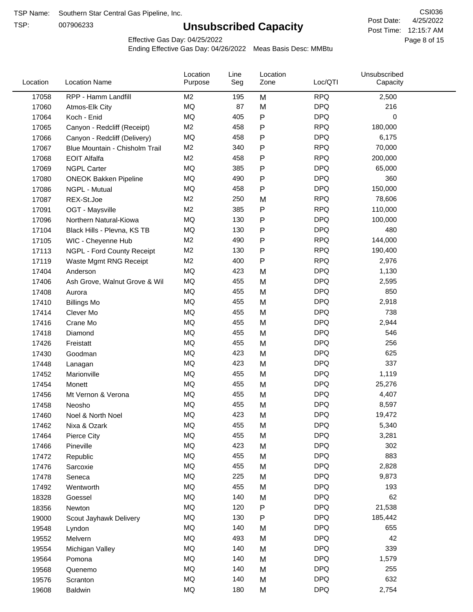TSP:

# **Unsubscribed Capacity**

4/25/2022 Page 8 of 15 Post Time: 12:15:7 AM CSI036 Post Date:

Effective Gas Day: 04/25/2022

| Location | <b>Location Name</b>           | Location<br>Purpose | Line<br>Seg | Location<br>Zone | Loc/QTI    | Unsubscribed<br>Capacity |  |
|----------|--------------------------------|---------------------|-------------|------------------|------------|--------------------------|--|
| 17058    | RPP - Hamm Landfill            | M <sub>2</sub>      | 195         | M                | <b>RPQ</b> | 2,500                    |  |
| 17060    | Atmos-Elk City                 | MQ                  | 87          | M                | <b>DPQ</b> | 216                      |  |
| 17064    | Koch - Enid                    | MQ                  | 405         | $\mathsf{P}$     | <b>DPQ</b> | 0                        |  |
| 17065    | Canyon - Redcliff (Receipt)    | M <sub>2</sub>      | 458         | $\mathsf{P}$     | <b>RPQ</b> | 180,000                  |  |
| 17066    | Canyon - Redcliff (Delivery)   | <b>MQ</b>           | 458         | $\mathsf{P}$     | <b>DPQ</b> | 6,175                    |  |
| 17067    | Blue Mountain - Chisholm Trail | M <sub>2</sub>      | 340         | $\mathsf{P}$     | <b>RPQ</b> | 70,000                   |  |
| 17068    | <b>EOIT Alfalfa</b>            | M <sub>2</sub>      | 458         | $\mathsf{P}$     | <b>RPQ</b> | 200,000                  |  |
| 17069    | <b>NGPL Carter</b>             | <b>MQ</b>           | 385         | $\mathsf{P}$     | <b>DPQ</b> | 65,000                   |  |
| 17080    | <b>ONEOK Bakken Pipeline</b>   | MQ                  | 490         | Ρ                | <b>DPQ</b> | 360                      |  |
| 17086    | NGPL - Mutual                  | MQ                  | 458         | ${\sf P}$        | <b>DPQ</b> | 150,000                  |  |
| 17087    | REX-St.Joe                     | M <sub>2</sub>      | 250         | M                | <b>RPQ</b> | 78,606                   |  |
| 17091    | OGT - Maysville                | M <sub>2</sub>      | 385         | $\mathsf{P}$     | <b>RPQ</b> | 110,000                  |  |
| 17096    | Northern Natural-Kiowa         | <b>MQ</b>           | 130         | $\mathsf{P}$     | <b>DPQ</b> | 100,000                  |  |
| 17104    | Black Hills - Plevna, KS TB    | <b>MQ</b>           | 130         | Ρ                | <b>DPQ</b> | 480                      |  |
| 17105    | WIC - Cheyenne Hub             | M <sub>2</sub>      | 490         | $\mathsf{P}$     | <b>RPQ</b> | 144,000                  |  |
| 17113    | NGPL - Ford County Receipt     | M <sub>2</sub>      | 130         | $\mathsf{P}$     | <b>RPQ</b> | 190,400                  |  |
| 17119    | Waste Mgmt RNG Receipt         | M <sub>2</sub>      | 400         | $\mathsf{P}$     | <b>RPQ</b> | 2,976                    |  |
| 17404    | Anderson                       | MQ                  | 423         | M                | <b>DPQ</b> | 1,130                    |  |
| 17406    | Ash Grove, Walnut Grove & Wil  | MQ                  | 455         | M                | <b>DPQ</b> | 2,595                    |  |
| 17408    | Aurora                         | <b>MQ</b>           | 455         | M                | <b>DPQ</b> | 850                      |  |
| 17410    | <b>Billings Mo</b>             | <b>MQ</b>           | 455         | M                | <b>DPQ</b> | 2,918                    |  |
| 17414    | Clever Mo                      | <b>MQ</b>           | 455         | M                | <b>DPQ</b> | 738                      |  |
| 17416    | Crane Mo                       | <b>MQ</b>           | 455         | M                | <b>DPQ</b> | 2,944                    |  |
| 17418    | Diamond                        | <b>MQ</b>           | 455         | M                | <b>DPQ</b> | 546                      |  |
| 17426    | Freistatt                      | <b>MQ</b>           | 455         | M                | <b>DPQ</b> | 256                      |  |
| 17430    | Goodman                        | MQ                  | 423         | M                | <b>DPQ</b> | 625                      |  |
| 17448    | Lanagan                        | <b>MQ</b>           | 423         | M                | <b>DPQ</b> | 337                      |  |
| 17452    | Marionville                    | <b>MQ</b>           | 455         | M                | <b>DPQ</b> | 1,119                    |  |
| 17454    | Monett                         | <b>MQ</b>           | 455         | M                | <b>DPQ</b> | 25,276                   |  |
| 17456    | Mt Vernon & Verona             | MQ                  | 455         | M                | <b>DPQ</b> | 4,407                    |  |
| 17458    | Neosho                         | <b>MQ</b>           | 455         | M                | <b>DPQ</b> | 8,597                    |  |
| 17460    | Noel & North Noel              | MQ                  | 423         | M                | <b>DPQ</b> | 19,472                   |  |
| 17462    | Nixa & Ozark                   | MQ                  | 455         | M                | <b>DPQ</b> | 5,340                    |  |
| 17464    | Pierce City                    | MQ                  | 455         | M                | <b>DPQ</b> | 3,281                    |  |
| 17466    | Pineville                      | MQ                  | 423         | M                | <b>DPQ</b> | 302                      |  |
| 17472    | Republic                       | MQ                  | 455         | M                | <b>DPQ</b> | 883                      |  |
| 17476    | Sarcoxie                       | MQ                  | 455         | M                | <b>DPQ</b> | 2,828                    |  |
| 17478    | Seneca                         | MQ                  | 225         | M                | <b>DPQ</b> | 9,873                    |  |
| 17492    | Wentworth                      | MQ                  | 455         | M                | <b>DPQ</b> | 193                      |  |
| 18328    | Goessel                        | MQ                  | 140         | M                | <b>DPQ</b> | 62                       |  |
| 18356    | Newton                         | MQ                  | 120         | P                | <b>DPQ</b> | 21,538                   |  |
| 19000    | Scout Jayhawk Delivery         | MQ                  | 130         | P                | <b>DPQ</b> | 185,442                  |  |
| 19548    | Lyndon                         | MQ                  | 140         | M                | <b>DPQ</b> | 655                      |  |
| 19552    | Melvern                        | MQ                  | 493         | M                | <b>DPQ</b> | 42                       |  |
| 19554    | Michigan Valley                | MQ                  | 140         | M                | <b>DPQ</b> | 339                      |  |
| 19564    | Pomona                         | MQ                  | 140         | M                | <b>DPQ</b> | 1,579                    |  |
| 19568    | Quenemo                        | MQ                  | 140         | M                | <b>DPQ</b> | 255                      |  |
| 19576    | Scranton                       | MQ                  | 140         | M                | <b>DPQ</b> | 632                      |  |
| 19608    | Baldwin                        | $\sf{MQ}$           | 180         | M                | <b>DPQ</b> | 2,754                    |  |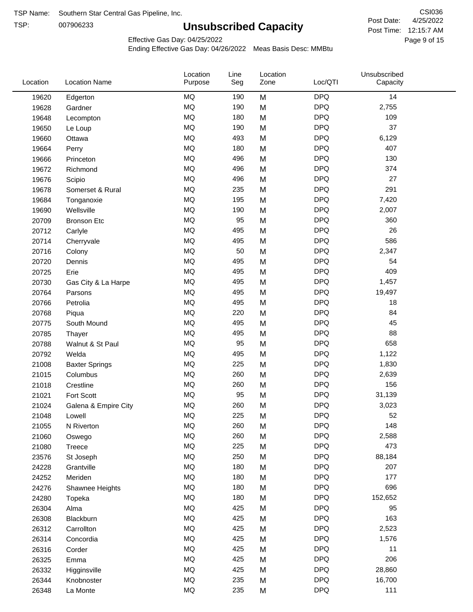TSP:

# **Unsubscribed Capacity**

4/25/2022 Page 9 of 15 Post Time: 12:15:7 AM CSI036 Post Date:

Effective Gas Day: 04/25/2022

| Location | <b>Location Name</b>  | Location<br>Purpose | Line<br>Seg | Location<br>Zone | Loc/QTI    | Unsubscribed<br>Capacity |  |
|----------|-----------------------|---------------------|-------------|------------------|------------|--------------------------|--|
| 19620    | Edgerton              | <b>MQ</b>           | 190         | M                | <b>DPQ</b> | 14                       |  |
| 19628    | Gardner               | <b>MQ</b>           | 190         | M                | <b>DPQ</b> | 2,755                    |  |
| 19648    | Lecompton             | <b>MQ</b>           | 180         | M                | <b>DPQ</b> | 109                      |  |
| 19650    | Le Loup               | <b>MQ</b>           | 190         | M                | <b>DPQ</b> | 37                       |  |
| 19660    | Ottawa                | <b>MQ</b>           | 493         | M                | <b>DPQ</b> | 6,129                    |  |
| 19664    | Perry                 | <b>MQ</b>           | 180         | M                | <b>DPQ</b> | 407                      |  |
| 19666    | Princeton             | <b>MQ</b>           | 496         | M                | <b>DPQ</b> | 130                      |  |
| 19672    | Richmond              | <b>MQ</b>           | 496         | M                | <b>DPQ</b> | 374                      |  |
| 19676    | Scipio                | <b>MQ</b>           | 496         | M                | <b>DPQ</b> | 27                       |  |
| 19678    | Somerset & Rural      | <b>MQ</b>           | 235         | M                | <b>DPQ</b> | 291                      |  |
| 19684    | Tonganoxie            | <b>MQ</b>           | 195         | M                | <b>DPQ</b> | 7,420                    |  |
| 19690    | Wellsville            | <b>MQ</b>           | 190         | M                | <b>DPQ</b> | 2,007                    |  |
| 20709    | <b>Bronson Etc</b>    | <b>MQ</b>           | 95          | M                | <b>DPQ</b> | 360                      |  |
| 20712    | Carlyle               | <b>MQ</b>           | 495         | M                | <b>DPQ</b> | 26                       |  |
| 20714    | Cherryvale            | <b>MQ</b>           | 495         | M                | <b>DPQ</b> | 586                      |  |
| 20716    | Colony                | <b>MQ</b>           | 50          | M                | <b>DPQ</b> | 2,347                    |  |
| 20720    | Dennis                | <b>MQ</b>           | 495         | M                | <b>DPQ</b> | 54                       |  |
| 20725    | Erie                  | <b>MQ</b>           | 495         | M                | <b>DPQ</b> | 409                      |  |
| 20730    | Gas City & La Harpe   | <b>MQ</b>           | 495         | M                | <b>DPQ</b> | 1,457                    |  |
| 20764    | Parsons               | <b>MQ</b>           | 495         | M                | <b>DPQ</b> | 19,497                   |  |
| 20766    | Petrolia              | <b>MQ</b>           | 495         | M                | <b>DPQ</b> | 18                       |  |
| 20768    | Piqua                 | <b>MQ</b>           | 220         | M                | <b>DPQ</b> | 84                       |  |
| 20775    | South Mound           | <b>MQ</b>           | 495         | M                | <b>DPQ</b> | 45                       |  |
| 20785    | Thayer                | <b>MQ</b>           | 495         | M                | <b>DPQ</b> | 88                       |  |
| 20788    | Walnut & St Paul      | <b>MQ</b>           | 95          | M                | <b>DPQ</b> | 658                      |  |
| 20792    | Welda                 | <b>MQ</b>           | 495         | M                | <b>DPQ</b> | 1,122                    |  |
| 21008    | <b>Baxter Springs</b> | <b>MQ</b>           | 225         | M                | <b>DPQ</b> | 1,830                    |  |
| 21015    | Columbus              | <b>MQ</b>           | 260         | M                | <b>DPQ</b> | 2,639                    |  |
| 21018    | Crestline             | <b>MQ</b>           | 260         | M                | <b>DPQ</b> | 156                      |  |
| 21021    | Fort Scott            | <b>MQ</b>           | 95          | M                | <b>DPQ</b> | 31,139                   |  |
| 21024    | Galena & Empire City  | <b>MQ</b>           | 260         | M                | <b>DPQ</b> | 3,023                    |  |
| 21048    | Lowell                | <b>MQ</b>           | 225         | M                | <b>DPQ</b> | 52                       |  |
| 21055    | N Riverton            | MQ                  | 260         | M                | <b>DPQ</b> | 148                      |  |
| 21060    | Oswego                | MQ                  | 260         | M                | <b>DPQ</b> | 2,588                    |  |
| 21080    | Treece                | <b>MQ</b>           | 225         | M                | <b>DPQ</b> | 473                      |  |
| 23576    | St Joseph             | <b>MQ</b>           | 250         | M                | <b>DPQ</b> | 88,184                   |  |
| 24228    | Grantville            | <b>MQ</b>           | 180         | M                | <b>DPQ</b> | 207                      |  |
| 24252    | Meriden               | MQ                  | 180         | M                | <b>DPQ</b> | 177                      |  |
| 24276    | Shawnee Heights       | MQ                  | 180         | M                | <b>DPQ</b> | 696                      |  |
| 24280    | Topeka                | MQ                  | 180         | M                | <b>DPQ</b> | 152,652                  |  |
| 26304    | Alma                  | MQ                  | 425         | M                | <b>DPQ</b> | 95                       |  |
| 26308    | Blackburn             | MQ                  | 425         | M                | <b>DPQ</b> | 163                      |  |
| 26312    | Carrollton            | MQ                  | 425         | M                | <b>DPQ</b> | 2,523                    |  |
| 26314    | Concordia             | <b>MQ</b>           | 425         | M                | <b>DPQ</b> | 1,576                    |  |
| 26316    | Corder                | <b>MQ</b>           | 425         | M                | <b>DPQ</b> | 11                       |  |
| 26325    | Emma                  | MQ                  | 425         | M                | <b>DPQ</b> | 206                      |  |
| 26332    | Higginsville          | MQ                  | 425         | M                | <b>DPQ</b> | 28,860                   |  |
| 26344    | Knobnoster            | MQ                  | 235         | M                | <b>DPQ</b> | 16,700                   |  |
| 26348    | La Monte              | MQ                  | 235         | M                | <b>DPQ</b> | 111                      |  |
|          |                       |                     |             |                  |            |                          |  |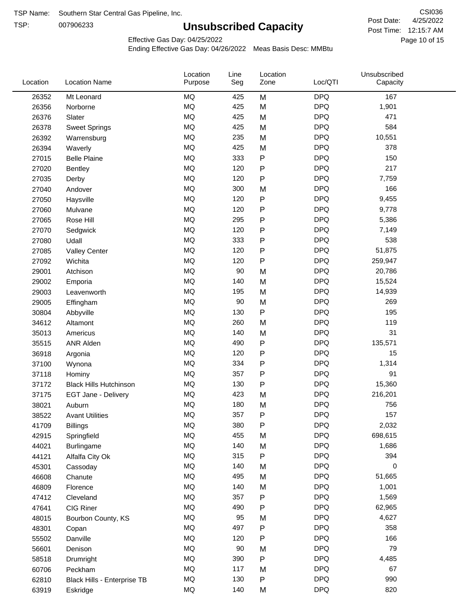TSP:

# **Unsubscribed Capacity**

4/25/2022 Page 10 of 15 Post Time: 12:15:7 AM CSI036 Post Date:

Effective Gas Day: 04/25/2022

| Location | <b>Location Name</b>          | Location<br>Purpose | Line<br>Seg | Location<br>Zone | Loc/QTI    | Unsubscribed<br>Capacity |  |
|----------|-------------------------------|---------------------|-------------|------------------|------------|--------------------------|--|
| 26352    | Mt Leonard                    | <b>MQ</b>           | 425         | M                | <b>DPQ</b> | 167                      |  |
| 26356    | Norborne                      | <b>MQ</b>           | 425         | M                | <b>DPQ</b> | 1,901                    |  |
| 26376    | Slater                        | <b>MQ</b>           | 425         | M                | <b>DPQ</b> | 471                      |  |
| 26378    | <b>Sweet Springs</b>          | <b>MQ</b>           | 425         | M                | <b>DPQ</b> | 584                      |  |
| 26392    | Warrensburg                   | <b>MQ</b>           | 235         | M                | <b>DPQ</b> | 10,551                   |  |
| 26394    | Waverly                       | <b>MQ</b>           | 425         | M                | <b>DPQ</b> | 378                      |  |
| 27015    | <b>Belle Plaine</b>           | <b>MQ</b>           | 333         | P                | <b>DPQ</b> | 150                      |  |
| 27020    | Bentley                       | <b>MQ</b>           | 120         | P                | <b>DPQ</b> | 217                      |  |
| 27035    | Derby                         | <b>MQ</b>           | 120         | Ρ                | <b>DPQ</b> | 7,759                    |  |
| 27040    | Andover                       | <b>MQ</b>           | 300         | M                | <b>DPQ</b> | 166                      |  |
| 27050    | Haysville                     | <b>MQ</b>           | 120         | P                | <b>DPQ</b> | 9,455                    |  |
| 27060    | Mulvane                       | <b>MQ</b>           | 120         | P                | <b>DPQ</b> | 9,778                    |  |
| 27065    | Rose Hill                     | <b>MQ</b>           | 295         | P                | <b>DPQ</b> | 5,386                    |  |
| 27070    | Sedgwick                      | <b>MQ</b>           | 120         | Ρ                | <b>DPQ</b> | 7,149                    |  |
| 27080    | Udall                         | <b>MQ</b>           | 333         | P                | <b>DPQ</b> | 538                      |  |
| 27085    | <b>Valley Center</b>          | <b>MQ</b>           | 120         | P                | <b>DPQ</b> | 51,875                   |  |
| 27092    | Wichita                       | <b>MQ</b>           | 120         | P                | <b>DPQ</b> | 259,947                  |  |
| 29001    | Atchison                      | <b>MQ</b>           | 90          | M                | <b>DPQ</b> | 20,786                   |  |
| 29002    | Emporia                       | <b>MQ</b>           | 140         | M                | <b>DPQ</b> | 15,524                   |  |
| 29003    | Leavenworth                   | <b>MQ</b>           | 195         | M                | <b>DPQ</b> | 14,939                   |  |
| 29005    | Effingham                     | <b>MQ</b>           | 90          | M                | <b>DPQ</b> | 269                      |  |
| 30804    | Abbyville                     | <b>MQ</b>           | 130         | P                | <b>DPQ</b> | 195                      |  |
| 34612    | Altamont                      | <b>MQ</b>           | 260         | M                | <b>DPQ</b> | 119                      |  |
| 35013    | Americus                      | <b>MQ</b>           | 140         | M                | <b>DPQ</b> | 31                       |  |
| 35515    | ANR Alden                     | <b>MQ</b>           | 490         | P                | <b>DPQ</b> | 135,571                  |  |
| 36918    | Argonia                       | <b>MQ</b>           | 120         | P                | <b>DPQ</b> | 15                       |  |
| 37100    | Wynona                        | <b>MQ</b>           | 334         | Ρ                | <b>DPQ</b> | 1,314                    |  |
| 37118    | Hominy                        | <b>MQ</b>           | 357         | Ρ                | <b>DPQ</b> | 91                       |  |
| 37172    | <b>Black Hills Hutchinson</b> | <b>MQ</b>           | 130         | P                | <b>DPQ</b> | 15,360                   |  |
| 37175    | EGT Jane - Delivery           | <b>MQ</b>           | 423         | M                | <b>DPQ</b> | 216,201                  |  |
| 38021    | Auburn                        | <b>MQ</b>           | 180         | M                | <b>DPQ</b> | 756                      |  |
| 38522    | <b>Avant Utilities</b>        | MQ                  | 357         | P                | <b>DPQ</b> | 157                      |  |
| 41709    | <b>Billings</b>               | MQ                  | 380         | Ρ                | <b>DPQ</b> | 2,032                    |  |
| 42915    | Springfield                   | <b>MQ</b>           | 455         | M                | <b>DPQ</b> | 698,615                  |  |
| 44021    | Burlingame                    | <b>MQ</b>           | 140         | M                | <b>DPQ</b> | 1,686                    |  |
| 44121    | Alfalfa City Ok               | <b>MQ</b>           | 315         | P                | <b>DPQ</b> | 394                      |  |
| 45301    | Cassoday                      | <b>MQ</b>           | 140         | M                | <b>DPQ</b> | 0                        |  |
| 46608    | Chanute                       | <b>MQ</b>           | 495         | M                | <b>DPQ</b> | 51,665                   |  |
| 46809    | Florence                      | <b>MQ</b>           | 140         | M                | <b>DPQ</b> | 1,001                    |  |
| 47412    | Cleveland                     | <b>MQ</b>           | 357         | Ρ                | <b>DPQ</b> | 1,569                    |  |
| 47641    | CIG Riner                     | <b>MQ</b>           | 490         | Ρ                | <b>DPQ</b> | 62,965                   |  |
| 48015    | Bourbon County, KS            | <b>MQ</b>           | 95          | M                | <b>DPQ</b> | 4,627                    |  |
| 48301    | Copan                         | <b>MQ</b>           | 497         | P                | <b>DPQ</b> | 358                      |  |
| 55502    | Danville                      | <b>MQ</b>           | 120         | Ρ                | <b>DPQ</b> | 166                      |  |
| 56601    | Denison                       | <b>MQ</b>           | $90\,$      | M                | <b>DPQ</b> | 79                       |  |
| 58518    | Drumright                     | <b>MQ</b>           | 390         | Ρ                | <b>DPQ</b> | 4,485                    |  |
| 60706    | Peckham                       | <b>MQ</b>           | 117         | M                | <b>DPQ</b> | 67                       |  |
| 62810    | Black Hills - Enterprise TB   | <b>MQ</b>           | 130         | P                | <b>DPQ</b> | 990                      |  |
| 63919    | Eskridge                      | <b>MQ</b>           | 140         | M                | <b>DPQ</b> | 820                      |  |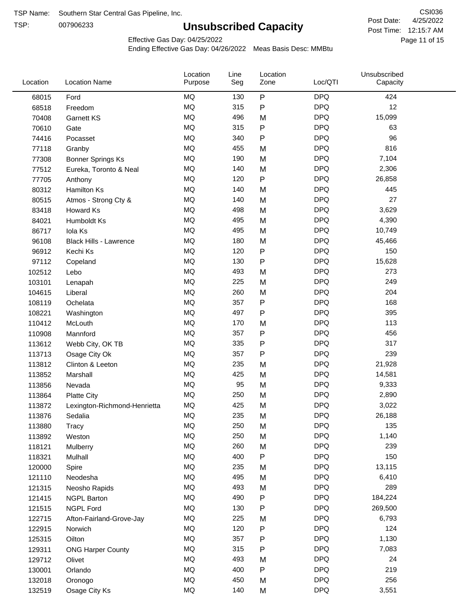TSP:

# **Unsubscribed Capacity**

4/25/2022 Page 11 of 15 Post Time: 12:15:7 AM CSI036 Post Date:

Unsubscribed

Effective Gas Day: 04/25/2022

Location

Ending Effective Gas Day: 04/26/2022 Meas Basis Desc: MMBtu

Line

Location

| Location | <b>Location Name</b>          | Purpose   | Seg | Zone | Loc/QTI    | Capacity |  |
|----------|-------------------------------|-----------|-----|------|------------|----------|--|
| 68015    | Ford                          | MQ        | 130 | P    | <b>DPQ</b> | 424      |  |
| 68518    | Freedom                       | MQ        | 315 | P    | <b>DPQ</b> | 12       |  |
| 70408    | Garnett KS                    | MQ        | 496 | M    | <b>DPQ</b> | 15,099   |  |
| 70610    | Gate                          | <b>MQ</b> | 315 | P    | <b>DPQ</b> | 63       |  |
| 74416    | Pocasset                      | <b>MQ</b> | 340 | P    | <b>DPQ</b> | 96       |  |
| 77118    | Granby                        | MQ        | 455 | M    | <b>DPQ</b> | 816      |  |
| 77308    | <b>Bonner Springs Ks</b>      | MQ        | 190 | M    | <b>DPQ</b> | 7,104    |  |
| 77512    | Eureka, Toronto & Neal        | MQ        | 140 | M    | <b>DPQ</b> | 2,306    |  |
| 77705    | Anthony                       | MQ        | 120 | P    | <b>DPQ</b> | 26,858   |  |
| 80312    | Hamilton Ks                   | MQ        | 140 | M    | <b>DPQ</b> | 445      |  |
| 80515    | Atmos - Strong Cty &          | MQ        | 140 | M    | <b>DPQ</b> | 27       |  |
| 83418    | Howard Ks                     | <b>MQ</b> | 498 | M    | <b>DPQ</b> | 3,629    |  |
| 84021    | Humboldt Ks                   | MQ        | 495 | M    | <b>DPQ</b> | 4,390    |  |
| 86717    | Iola Ks                       | <b>MQ</b> | 495 | M    | <b>DPQ</b> | 10,749   |  |
| 96108    | <b>Black Hills - Lawrence</b> | MQ        | 180 | M    | <b>DPQ</b> | 45,466   |  |
| 96912    | Kechi Ks                      | MQ        | 120 | P    | <b>DPQ</b> | 150      |  |
| 97112    | Copeland                      | MQ        | 130 | P    | <b>DPQ</b> | 15,628   |  |
| 102512   | Lebo                          | MQ        | 493 | M    | <b>DPQ</b> | 273      |  |
| 103101   | Lenapah                       | MQ        | 225 | M    | <b>DPQ</b> | 249      |  |
| 104615   | Liberal                       | MQ        | 260 | M    | <b>DPQ</b> | 204      |  |
| 108119   | Ochelata                      | MQ        | 357 | P    | <b>DPQ</b> | 168      |  |
| 108221   | Washington                    | MQ        | 497 | P    | <b>DPQ</b> | 395      |  |
| 110412   | McLouth                       | MQ        | 170 | M    | <b>DPQ</b> | 113      |  |
| 110908   | Mannford                      | MQ        | 357 | Ρ    | <b>DPQ</b> | 456      |  |
| 113612   | Webb City, OK TB              | MQ        | 335 | Ρ    | <b>DPQ</b> | 317      |  |
| 113713   | Osage City Ok                 | MQ        | 357 | Ρ    | <b>DPQ</b> | 239      |  |
| 113812   | Clinton & Leeton              | MQ        | 235 | M    | <b>DPQ</b> | 21,928   |  |
| 113852   | Marshall                      | <b>MQ</b> | 425 | M    | <b>DPQ</b> | 14,581   |  |
| 113856   | Nevada                        | MQ        | 95  | M    | <b>DPQ</b> | 9,333    |  |
| 113864   | <b>Platte City</b>            | MQ        | 250 | M    | <b>DPQ</b> | 2,890    |  |
| 113872   | Lexington-Richmond-Henrietta  | MQ        | 425 | M    | <b>DPQ</b> | 3,022    |  |
| 113876   | Sedalia                       | MQ        | 235 | M    | <b>DPQ</b> | 26,188   |  |
| 113880   | <b>Tracy</b>                  | $\sf{MQ}$ | 250 | M    | <b>DPQ</b> | 135      |  |
| 113892   | Weston                        | MQ        | 250 | M    | <b>DPQ</b> | 1,140    |  |
| 118121   | Mulberry                      | MQ        | 260 | M    | <b>DPQ</b> | 239      |  |
| 118321   | Mulhall                       | MQ        | 400 | P    | <b>DPQ</b> | 150      |  |
| 120000   | Spire                         | MQ        | 235 | M    | <b>DPQ</b> | 13,115   |  |
| 121110   | Neodesha                      | MQ        | 495 | M    | <b>DPQ</b> | 6,410    |  |
| 121315   | Neosho Rapids                 | MQ        | 493 | M    | <b>DPQ</b> | 289      |  |
| 121415   | <b>NGPL Barton</b>            | MQ        | 490 | Ρ    | <b>DPQ</b> | 184,224  |  |
| 121515   | <b>NGPL Ford</b>              | MQ        | 130 | Ρ    | <b>DPQ</b> | 269,500  |  |
| 122715   | Afton-Fairland-Grove-Jay      | MQ        | 225 | M    | <b>DPQ</b> | 6,793    |  |
| 122915   | Norwich                       | MQ        | 120 | Ρ    | <b>DPQ</b> | 124      |  |
| 125315   | Oilton                        | MQ        | 357 | Ρ    | <b>DPQ</b> | 1,130    |  |
| 129311   | <b>ONG Harper County</b>      | MQ        | 315 | Ρ    | <b>DPQ</b> | 7,083    |  |
| 129712   | Olivet                        | MQ        | 493 | M    | <b>DPQ</b> | 24       |  |
| 130001   | Orlando                       | MQ        | 400 | P    | <b>DPQ</b> | 219      |  |
| 132018   | Oronogo                       | MQ        | 450 | M    | <b>DPQ</b> | 256      |  |
| 132519   | Osage City Ks                 | MQ        | 140 | M    | <b>DPQ</b> | 3,551    |  |
|          |                               |           |     |      |            |          |  |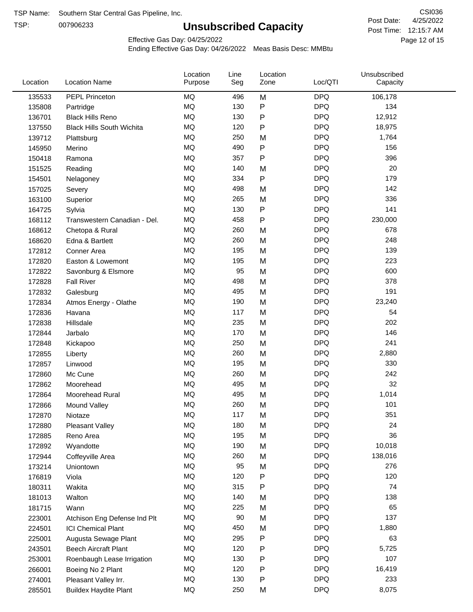TSP:

# **Unsubscribed Capacity**

4/25/2022 Page 12 of 15 Post Time: 12:15:7 AM CSI036 Post Date:

Effective Gas Day: 04/25/2022

| Location | <b>Location Name</b>             | Location<br>Purpose | Line<br>Seg | Location<br>Zone | Loc/QTI    | Unsubscribed<br>Capacity |  |
|----------|----------------------------------|---------------------|-------------|------------------|------------|--------------------------|--|
| 135533   | <b>PEPL Princeton</b>            | MQ                  | 496         | M                | <b>DPQ</b> | 106,178                  |  |
| 135808   | Partridge                        | MQ                  | 130         | P                | <b>DPQ</b> | 134                      |  |
| 136701   | <b>Black Hills Reno</b>          | MQ                  | 130         | P                | <b>DPQ</b> | 12,912                   |  |
| 137550   | <b>Black Hills South Wichita</b> | <b>MQ</b>           | 120         | P                | <b>DPQ</b> | 18,975                   |  |
| 139712   | Plattsburg                       | <b>MQ</b>           | 250         | M                | <b>DPQ</b> | 1,764                    |  |
| 145950   | Merino                           | MQ                  | 490         | P                | <b>DPQ</b> | 156                      |  |
| 150418   | Ramona                           | MQ                  | 357         | Ρ                | <b>DPQ</b> | 396                      |  |
| 151525   | Reading                          | MQ                  | 140         | M                | <b>DPQ</b> | 20                       |  |
| 154501   | Nelagoney                        | MQ                  | 334         | P                | <b>DPQ</b> | 179                      |  |
| 157025   | Severy                           | MQ                  | 498         | M                | <b>DPQ</b> | 142                      |  |
| 163100   | Superior                         | MQ                  | 265         | M                | <b>DPQ</b> | 336                      |  |
| 164725   | Sylvia                           | MQ                  | 130         | P                | <b>DPQ</b> | 141                      |  |
| 168112   | Transwestern Canadian - Del.     | MQ                  | 458         | P                | <b>DPQ</b> | 230,000                  |  |
| 168612   | Chetopa & Rural                  | MQ                  | 260         | M                | <b>DPQ</b> | 678                      |  |
| 168620   | Edna & Bartlett                  | MQ                  | 260         | M                | <b>DPQ</b> | 248                      |  |
| 172812   | Conner Area                      | MQ                  | 195         | M                | <b>DPQ</b> | 139                      |  |
| 172820   | Easton & Lowemont                | MQ                  | 195         | M                | <b>DPQ</b> | 223                      |  |
| 172822   | Savonburg & Elsmore              | MQ                  | 95          | M                | <b>DPQ</b> | 600                      |  |
| 172828   | <b>Fall River</b>                | MQ                  | 498         | M                | <b>DPQ</b> | 378                      |  |
| 172832   | Galesburg                        | MQ                  | 495         | M                | <b>DPQ</b> | 191                      |  |
| 172834   | Atmos Energy - Olathe            | MQ                  | 190         | M                | <b>DPQ</b> | 23,240                   |  |
| 172836   | Havana                           | MQ                  | 117         | M                | <b>DPQ</b> | 54                       |  |
| 172838   | Hillsdale                        | MQ                  | 235         | M                | <b>DPQ</b> | 202                      |  |
| 172844   | Jarbalo                          | <b>MQ</b>           | 170         | M                | <b>DPQ</b> | 146                      |  |
| 172848   | Kickapoo                         | <b>MQ</b>           | 250         | M                | <b>DPQ</b> | 241                      |  |
| 172855   | Liberty                          | MQ                  | 260         | M                | <b>DPQ</b> | 2,880                    |  |
| 172857   | Linwood                          | MQ                  | 195         | M                | <b>DPQ</b> | 330                      |  |
| 172860   | Mc Cune                          | MQ                  | 260         | M                | <b>DPQ</b> | 242                      |  |
| 172862   | Moorehead                        | MQ                  | 495         | M                | <b>DPQ</b> | 32                       |  |
| 172864   | Moorehead Rural                  | MQ                  | 495         | M                | <b>DPQ</b> | 1,014                    |  |
| 172866   | Mound Valley                     | MQ                  | 260         | M                | <b>DPQ</b> | 101                      |  |
| 172870   | Niotaze                          | MQ                  | 117         | м                | <b>DPQ</b> | 351                      |  |
| 172880   | <b>Pleasant Valley</b>           | MQ                  | 180         | M                | <b>DPQ</b> | 24                       |  |
| 172885   | Reno Area                        | MQ                  | 195         | M                | <b>DPQ</b> | 36                       |  |
| 172892   | Wyandotte                        | MQ                  | 190         | M                | <b>DPQ</b> | 10,018                   |  |
| 172944   | Coffeyville Area                 | MQ                  | 260         | M                | <b>DPQ</b> | 138,016                  |  |
| 173214   | Uniontown                        | MQ                  | 95          | M                | <b>DPQ</b> | 276                      |  |
| 176819   | Viola                            | MQ                  | 120         | P                | <b>DPQ</b> | 120                      |  |
| 180311   | Wakita                           | MQ                  | 315         | Ρ                | <b>DPQ</b> | 74                       |  |
| 181013   | Walton                           | MQ                  | 140         | M                | <b>DPQ</b> | 138                      |  |
| 181715   | Wann                             | MQ                  | 225         | M                | <b>DPQ</b> | 65                       |  |
| 223001   | Atchison Eng Defense Ind Plt     | MQ                  | 90          | M                | <b>DPQ</b> | 137                      |  |
| 224501   | <b>ICI Chemical Plant</b>        | MQ                  | 450         | M                | <b>DPQ</b> | 1,880                    |  |
| 225001   | Augusta Sewage Plant             | MQ                  | 295         | Ρ                | <b>DPQ</b> | 63                       |  |
| 243501   | <b>Beech Aircraft Plant</b>      | MQ                  | 120         | Ρ                | <b>DPQ</b> | 5,725                    |  |
| 253001   | Roenbaugh Lease Irrigation       | MQ                  | 130         | Ρ                | <b>DPQ</b> | 107                      |  |
| 266001   | Boeing No 2 Plant                | MQ                  | 120         | Ρ                | <b>DPQ</b> | 16,419                   |  |
| 274001   | Pleasant Valley Irr.             | MQ                  | 130         | Ρ                | <b>DPQ</b> | 233                      |  |
| 285501   | <b>Buildex Haydite Plant</b>     | MQ                  | 250         | M                | <b>DPQ</b> | 8,075                    |  |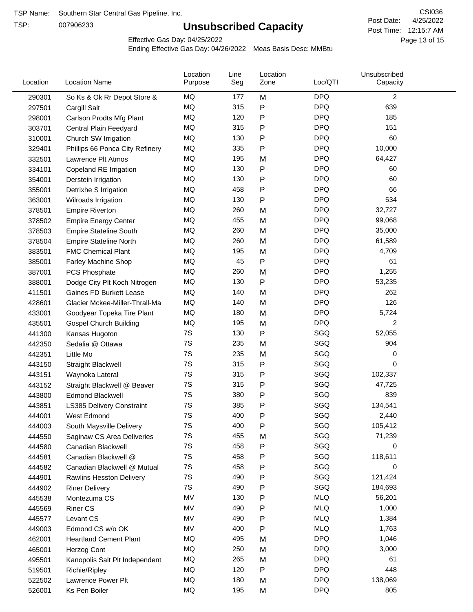TSP:

# **Unsubscribed Capacity**

4/25/2022 Page 13 of 15 Post Time: 12:15:7 AM CSI036 Post Date:

Effective Gas Day: 04/25/2022

| Location | <b>Location Name</b>             | Location<br>Purpose | Line<br>Seg | Location<br>Zone | Loc/QTI    | Unsubscribed<br>Capacity |  |
|----------|----------------------------------|---------------------|-------------|------------------|------------|--------------------------|--|
| 290301   | So Ks & Ok Rr Depot Store &      | MQ                  | 177         | M                | <b>DPQ</b> | $\overline{c}$           |  |
| 297501   | Cargill Salt                     | MQ                  | 315         | ${\sf P}$        | <b>DPQ</b> | 639                      |  |
| 298001   | Carlson Prodts Mfg Plant         | MQ                  | 120         | P                | <b>DPQ</b> | 185                      |  |
| 303701   | Central Plain Feedyard           | <b>MQ</b>           | 315         | ${\sf P}$        | <b>DPQ</b> | 151                      |  |
| 310001   | Church SW Irrigation             | MQ                  | 130         | P                | <b>DPQ</b> | 60                       |  |
| 329401   | Phillips 66 Ponca City Refinery  | MQ                  | 335         | $\mathsf{P}$     | <b>DPQ</b> | 10,000                   |  |
| 332501   | Lawrence Plt Atmos               | MQ                  | 195         | M                | <b>DPQ</b> | 64,427                   |  |
| 334101   | Copeland RE Irrigation           | MQ                  | 130         | ${\sf P}$        | <b>DPQ</b> | 60                       |  |
| 354001   | Derstein Irrigation              | MQ                  | 130         | P                | <b>DPQ</b> | 60                       |  |
| 355001   | Detrixhe S Irrigation            | MQ                  | 458         | P                | <b>DPQ</b> | 66                       |  |
| 363001   | Wilroads Irrigation              | MQ                  | 130         | ${\sf P}$        | <b>DPQ</b> | 534                      |  |
| 378501   | <b>Empire Riverton</b>           | MQ                  | 260         | M                | <b>DPQ</b> | 32,727                   |  |
| 378502   | <b>Empire Energy Center</b>      | MQ                  | 455         | M                | <b>DPQ</b> | 99,068                   |  |
| 378503   | <b>Empire Stateline South</b>    | MQ                  | 260         | M                | <b>DPQ</b> | 35,000                   |  |
| 378504   | <b>Empire Stateline North</b>    | MQ                  | 260         | M                | <b>DPQ</b> | 61,589                   |  |
| 383501   | <b>FMC Chemical Plant</b>        | MQ                  | 195         | M                | <b>DPQ</b> | 4,709                    |  |
| 385001   | Farley Machine Shop              | MQ                  | 45          | ${\sf P}$        | <b>DPQ</b> | 61                       |  |
| 387001   | <b>PCS Phosphate</b>             | MQ                  | 260         | M                | <b>DPQ</b> | 1,255                    |  |
| 388001   | Dodge City Plt Koch Nitrogen     | MQ                  | 130         | P                | <b>DPQ</b> | 53,235                   |  |
| 411501   | Gaines FD Burkett Lease          | MQ                  | 140         | M                | <b>DPQ</b> | 262                      |  |
| 428601   | Glacier Mckee-Miller-Thrall-Ma   | MQ                  | 140         | M                | <b>DPQ</b> | 126                      |  |
| 433001   | Goodyear Topeka Tire Plant       | MQ                  | 180         | M                | <b>DPQ</b> | 5,724                    |  |
| 435501   | <b>Gospel Church Building</b>    | MQ                  | 195         | M                | <b>DPQ</b> | $\overline{2}$           |  |
| 441300   | Kansas Hugoton                   | 7S                  | 130         | P                | SGQ        | 52,055                   |  |
| 442350   | Sedalia @ Ottawa                 | 7S                  | 235         | M                | SGQ        | 904                      |  |
| 442351   | Little Mo                        | 7S                  | 235         | M                | SGQ        | 0                        |  |
| 443150   | <b>Straight Blackwell</b>        | 7S                  | 315         | ${\sf P}$        | SGQ        | 0                        |  |
| 443151   | Waynoka Lateral                  | 7S                  | 315         | P                | SGQ        | 102,337                  |  |
| 443152   | Straight Blackwell @ Beaver      | 7S                  | 315         | ${\sf P}$        | SGQ        | 47,725                   |  |
| 443800   | <b>Edmond Blackwell</b>          | 7S                  | 380         | P                | SGQ        | 839                      |  |
| 443851   | <b>LS385 Delivery Constraint</b> | 7S                  | 385         | P                | SGQ        | 134,541                  |  |
| 444001   | West Edmond                      | 7S                  | 400         | P                | SGQ        | 2,440                    |  |
| 444003   | South Maysville Delivery         | 7S                  | 400         | P                | SGQ        | 105,412                  |  |
| 444550   | Saginaw CS Area Deliveries       | 7S                  | 455         | M                | SGQ        | 71,239                   |  |
| 444580   | Canadian Blackwell               | 7S                  | 458         | P                | SGQ        | 0                        |  |
| 444581   | Canadian Blackwell @             | 7S                  | 458         | P                | SGQ        | 118,611                  |  |
| 444582   | Canadian Blackwell @ Mutual      | 7S                  | 458         | P                | SGQ        | 0                        |  |
| 444901   | <b>Rawlins Hesston Delivery</b>  | 7S                  | 490         | P                | SGQ        | 121,424                  |  |
| 444902   | <b>Riner Delivery</b>            | 7S                  | 490         | P                | SGQ        | 184,693                  |  |
| 445538   | Montezuma CS                     | MV                  | 130         | P                | <b>MLQ</b> | 56,201                   |  |
| 445569   | <b>Riner CS</b>                  | MV                  | 490         | P                | <b>MLQ</b> | 1,000                    |  |
| 445577   | Levant CS                        | MV                  | 490         | P                | <b>MLQ</b> | 1,384                    |  |
| 449003   | Edmond CS w/o OK                 | MV                  | 400         | ${\sf P}$        | <b>MLQ</b> | 1,763                    |  |
| 462001   | <b>Heartland Cement Plant</b>    | MQ                  | 495         | M                | <b>DPQ</b> | 1,046                    |  |
| 465001   | Herzog Cont                      | MQ                  | 250         | M                | <b>DPQ</b> | 3,000                    |  |
| 495501   | Kanopolis Salt Plt Independent   | MQ                  | 265         | M                | <b>DPQ</b> | 61                       |  |
| 519501   | Richie/Ripley                    | MQ                  | 120         | P                | <b>DPQ</b> | 448                      |  |
| 522502   | Lawrence Power Plt               | MQ                  | 180         | M                | <b>DPQ</b> | 138,069                  |  |
| 526001   | Ks Pen Boiler                    | MQ                  | 195         | M                | <b>DPQ</b> | 805                      |  |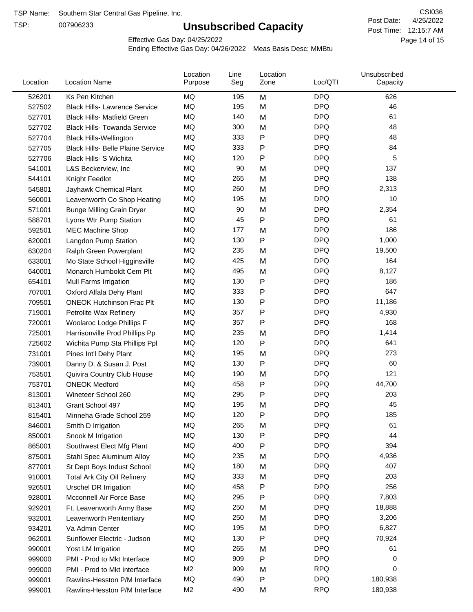TSP:

# **Unsubscribed Capacity**

4/25/2022 Page 14 of 15 Post Time: 12:15:7 AM CSI036 Post Date:

Effective Gas Day: 04/25/2022

| Location | <b>Location Name</b>                     | Location<br>Purpose | Line<br>Seg | Location<br>Zone | Loc/QTI    | Unsubscribed<br>Capacity |
|----------|------------------------------------------|---------------------|-------------|------------------|------------|--------------------------|
| 526201   | Ks Pen Kitchen                           | MQ                  | 195         | M                | <b>DPQ</b> | 626                      |
| 527502   | <b>Black Hills- Lawrence Service</b>     | MQ                  | 195         | M                | <b>DPQ</b> | 46                       |
| 527701   | <b>Black Hills- Matfield Green</b>       | MQ                  | 140         | M                | <b>DPQ</b> | 61                       |
| 527702   | <b>Black Hills- Towanda Service</b>      | MQ                  | 300         | M                | <b>DPQ</b> | 48                       |
| 527704   | <b>Black Hills-Wellington</b>            | <b>MQ</b>           | 333         | P                | <b>DPQ</b> | 48                       |
| 527705   | <b>Black Hills- Belle Plaine Service</b> | MQ                  | 333         | P                | <b>DPQ</b> | 84                       |
| 527706   | Black Hills- S Wichita                   | MQ                  | 120         | P                | <b>DPQ</b> | 5                        |
| 541001   | L&S Beckerview, Inc                      | MQ                  | 90          | M                | <b>DPQ</b> | 137                      |
| 544101   | Knight Feedlot                           | MQ                  | 265         | M                | <b>DPQ</b> | 138                      |
| 545801   | Jayhawk Chemical Plant                   | MQ                  | 260         | M                | <b>DPQ</b> | 2,313                    |
| 560001   | Leavenworth Co Shop Heating              | MQ                  | 195         | M                | <b>DPQ</b> | 10                       |
| 571001   | <b>Bunge Milling Grain Dryer</b>         | MQ                  | 90          | M                | <b>DPQ</b> | 2,354                    |
| 588701   | Lyons Wtr Pump Station                   | MQ                  | 45          | P                | <b>DPQ</b> | 61                       |
| 592501   | <b>MEC Machine Shop</b>                  | <b>MQ</b>           | 177         | M                | <b>DPQ</b> | 186                      |
| 620001   | Langdon Pump Station                     | MQ                  | 130         | P                | <b>DPQ</b> | 1,000                    |
| 630204   | Ralph Green Powerplant                   | MQ                  | 235         | M                | <b>DPQ</b> | 19,500                   |
| 633001   | Mo State School Higginsville             | MQ                  | 425         | M                | <b>DPQ</b> | 164                      |
| 640001   | Monarch Humboldt Cem Plt                 | MQ                  | 495         | M                | <b>DPQ</b> | 8,127                    |
| 654101   | Mull Farms Irrigation                    | MQ                  | 130         | P                | <b>DPQ</b> | 186                      |
| 707001   | Oxford Alfala Dehy Plant                 | MQ                  | 333         | Ρ                | <b>DPQ</b> | 647                      |
| 709501   | <b>ONEOK Hutchinson Frac Plt</b>         | MQ                  | 130         | P                | <b>DPQ</b> | 11,186                   |
| 719001   | Petrolite Wax Refinery                   | MQ                  | 357         | Ρ                | <b>DPQ</b> | 4,930                    |
| 720001   | Woolaroc Lodge Phillips F                | MQ                  | 357         | Ρ                | <b>DPQ</b> | 168                      |
| 725001   | Harrisonville Prod Phillips Pp           | <b>MQ</b>           | 235         | M                | <b>DPQ</b> | 1,414                    |
| 725602   | Wichita Pump Sta Phillips Ppl            | MQ                  | 120         | Ρ                | <b>DPQ</b> | 641                      |
| 731001   | Pines Int'l Dehy Plant                   | MQ                  | 195         | M                | <b>DPQ</b> | 273                      |
| 739001   | Danny D. & Susan J. Post                 | MQ                  | 130         | P                | <b>DPQ</b> | 60                       |
| 753501   | Quivira Country Club House               | MQ                  | 190         | M                | <b>DPQ</b> | 121                      |
| 753701   | <b>ONEOK Medford</b>                     | MQ                  | 458         | Ρ                | <b>DPQ</b> | 44,700                   |
| 813001   | Wineteer School 260                      | MQ                  | 295         | P                | <b>DPQ</b> | 203                      |
| 813401   | Grant School 497                         | MQ                  | 195         | M                | <b>DPQ</b> | 45                       |
| 815401   | Minneha Grade School 259                 | MQ                  | 120         | P                | <b>DPQ</b> | 185                      |
| 846001   | Smith D Irrigation                       | MQ                  | 265         | M                | <b>DPQ</b> | 61                       |
| 850001   | Snook M Irrigation                       | MQ                  | 130         | Ρ                | <b>DPQ</b> | 44                       |
| 865001   | Southwest Elect Mfg Plant                | MQ                  | 400         | P                | <b>DPQ</b> | 394                      |
| 875001   | Stahl Spec Aluminum Alloy                | MQ                  | 235         | M                | <b>DPQ</b> | 4,936                    |
| 877001   | St Dept Boys Indust School               | MQ                  | 180         | M                | <b>DPQ</b> | 407                      |
| 910001   | <b>Total Ark City Oil Refinery</b>       | MQ                  | 333         | M                | <b>DPQ</b> | 203                      |
| 926501   | <b>Urschel DR Irrigation</b>             | MQ                  | 458         | Ρ                | <b>DPQ</b> | 256                      |
| 928001   | Mcconnell Air Force Base                 | MQ                  | 295         | P                | <b>DPQ</b> | 7,803                    |
| 929201   | Ft. Leavenworth Army Base                | MQ                  | 250         | M                | <b>DPQ</b> | 18,888                   |
| 932001   | Leavenworth Penitentiary                 | MQ                  | 250         | M                | <b>DPQ</b> | 3,206                    |
| 934201   | Va Admin Center                          | MQ                  | 195         | M                | <b>DPQ</b> | 6,827                    |
| 962001   | Sunflower Electric - Judson              | MQ                  | 130         | P                | <b>DPQ</b> | 70,924                   |
| 990001   | Yost LM Irrigation                       | MQ                  | 265         | M                | <b>DPQ</b> | 61                       |
| 999000   | PMI - Prod to Mkt Interface              | MQ                  | 909         | Ρ                | <b>DPQ</b> | 0                        |
| 999000   | PMI - Prod to Mkt Interface              | M <sub>2</sub>      | 909         | M                | <b>RPQ</b> | 0                        |
| 999001   | Rawlins-Hesston P/M Interface            | MQ                  | 490         | P                | <b>DPQ</b> | 180,938                  |
| 999001   | Rawlins-Hesston P/M Interface            | M <sub>2</sub>      | 490         | M                | <b>RPQ</b> | 180,938                  |